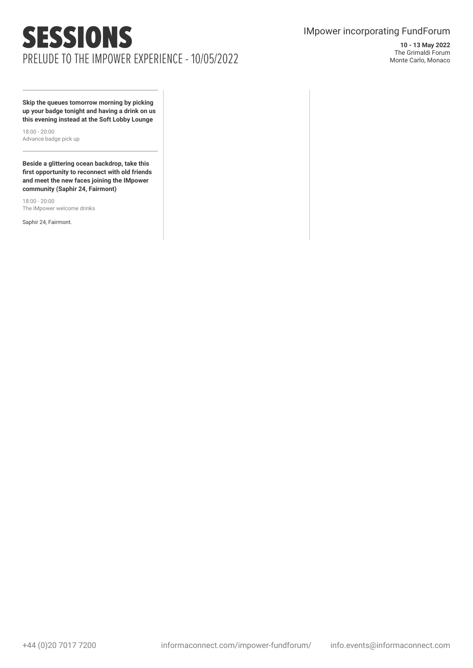## SESSIONS PRELUDE TO THE IMPOWER EXPERIENCE - 10/05/2022

### IMpower incorporating FundForum

**10 - 13 May 2022** The Grimaldi Forum Monte Carlo, Monaco

**Skip the queues tomorrow morning by picking up your badge tonight and having a drink on us this evening instead at the Soft Lobby Lounge**

18:00 - 20:00 Advance badge pick up

**Beside a glittering ocean backdrop, take this first opportunity to reconnect with old friends and meet the new faces joining the IMpower community (Saphir 24, Fairmont)**

18:00 - 20:00 The IMpower welcome drinks

Saphir 24, Fairmont.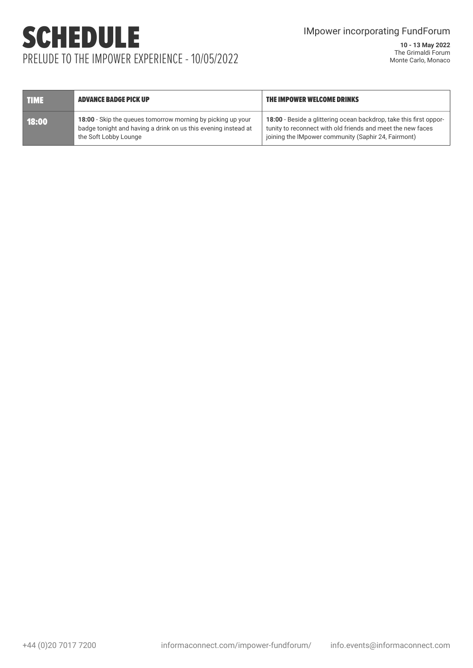### IMpower incorporating FundForum

# SCHEDULE PRELUDE TO THE IMPOWER EXPERIENCE - 10/05/2022

| THME. | <b>ADVANCE BADGE PICK UP</b>                                                                                                                           | THE IMPOWER WELCOME DRINKS                                                                                                                                                               |
|-------|--------------------------------------------------------------------------------------------------------------------------------------------------------|------------------------------------------------------------------------------------------------------------------------------------------------------------------------------------------|
| 18:00 | 18:00 - Skip the queues tomorrow morning by picking up your<br>badge tonight and having a drink on us this evening instead at<br>the Soft Lobby Lounge | 18:00 - Beside a glittering ocean backdrop, take this first oppor-<br>tunity to reconnect with old friends and meet the new faces<br>joining the IMpower community (Saphir 24, Fairmont) |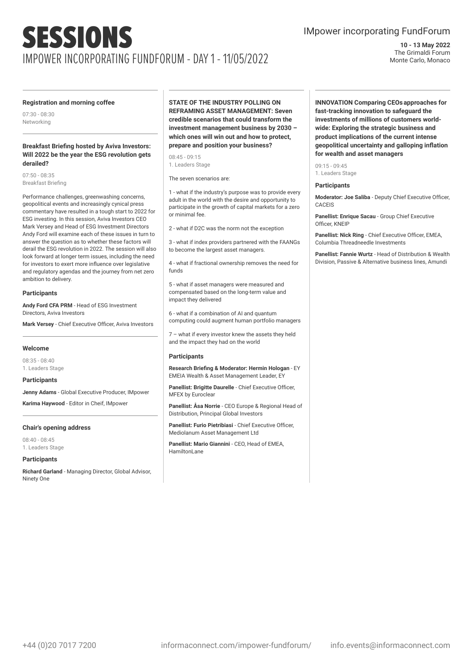### IMpower incorporating FundForum

**10 - 13 May 2022** The Grimaldi Forum Monte Carlo, Monaco

#### **Registration and morning coffee**

07:30 - 08:30 Networking

#### **Breakfast Briefing hosted by Aviva Investors: Will 2022 be the year the ESG revolution gets derailed?**

07:50 - 08:35 Breakfast Briefing

Performance challenges, greenwashing concerns, geopolitical events and increasingly cynical press commentary have resulted in a tough start to 2022 for ESG investing. In this session, Aviva Investors CEO Mark Versey and Head of ESG Investment Directors Andy Ford will examine each of these issues in turn to answer the question as to whether these factors will derail the ESG revolution in 2022. The session will also look forward at longer term issues, including the need for investors to exert more influence over legislative and regulatory agendas and the journey from net zero ambition to delivery.

#### **Participants**

**Andy Ford CFA PRM** - Head of ESG Investment Directors, Aviva Investors

**Mark Versey** - Chief Executive Officer, Aviva Investors

#### **Welcome**

08:35 - 08:40 1. Leaders Stage

#### **Participants**

**Jenny Adams** - Global Executive Producer, IMpower

**Karima Haywood** - Editor in Cheif, IMpower

#### **Chair's opening address**

08:40 - 08:45 1. Leaders Stage

#### **Participants**

**Richard Garland** - Managing Director, Global Advisor, Ninety One

**STATE OF THE INDUSTRY POLLING ON REFRAMING ASSET MANAGEMENT: Seven credible scenarios that could transform the investment management business by 2030 – which ones will win out and how to protect, prepare and position your business?**

08:45 - 09:15 1. Leaders Stage

The seven scenarios are:

1 - what if the industry's purpose was to provide every adult in the world with the desire and opportunity to participate in the growth of capital markets for a zero or minimal fee.

2 - what if D2C was the norm not the exception

3 - what if index providers partnered with the FAANGs to become the largest asset managers.

4 - what if fractional ownership removes the need for funds

5 - what if asset managers were measured and compensated based on the long-term value and impact they delivered

6 - what if a combination of AI and quantum computing could augment human portfolio managers

7 – what if every investor knew the assets they held and the impact they had on the world

#### **Participants**

**Research Briefing & Moderator: Hermin Hologan** - EY EMEIA Wealth & Asset Management Leader, EY

**Panellist: Brigitte Daurelle** - Chief Executive Officer, MFEX by Euroclear

**Panellist: Åsa Norrie** - CEO Europe & Regional Head of Distribution, Principal Global Investors

**Panellist: Furio Pietribiasi** - Chief Executive Officer, Mediolanum Asset Management Ltd

**Panellist: Mario Giannini** - CEO, Head of EMEA, **HamiltonLane** 

**INNOVATION Comparing CEOsapproaches for fast-tracking innovation to safeguard the investments of millions of customers worldwide: Exploring the strategic business and product implications of the current intense geopolitical uncertainty and galloping inflation for wealth and asset managers**

 $09.15 - 09.45$ 1. Leaders Stage

#### **Participants**

**Moderator: Joe Saliba** - Deputy Chief Executive Officer, CACEIS

**Panellist: Enrique Sacau** - Group Chief Executive Officer, KNEIP

**Panellist: Nick Ring** - Chief Executive Officer, EMEA, Columbia Threadneedle Investments

**Panellist: Fannie Wurtz** - Head of Distribution & Wealth Division, Passive & Alternative business lines, Amundi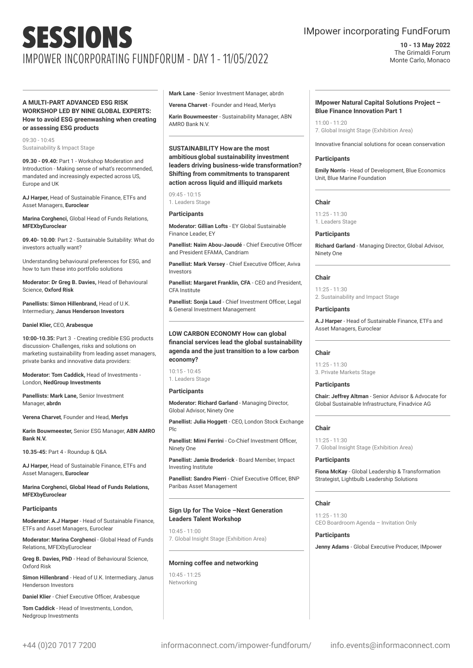#### **A MULTI-PART ADVANCED ESG RISK WORKSHOP LED BY NINE GLOBAL EXPERTS: How to avoid ESG greenwashing when creating or assessing ESG products**

09:30 - 10:45 Sustainability & Impact Stage

**09.30 - 09.40:** Part 1 - Workshop Moderation and Introduction - Making sense of what's recommended, mandated and increasingly expected across US, Europe and UK

**AJ Harper,** Head of Sustainable Finance, ETFs and Asset Managers, **Euroclear**

**Marina Corghenci,** Global Head of Funds Relations, **MFEXbyEuroclear**

**09.40- 10.00**: Part 2 - Sustainable Suitability: What do investors actually want?

Understanding behavioural preferences for ESG, and how to turn these into portfolio solutions

**Moderator: Dr Greg B. Davies,** Head of Behavioural Science, **Oxford Risk**

**Panellists: Simon Hillenbrand,** Head of U.K. Intermediary, **Janus Henderson Investors**

#### **Daniel Klier,** CEO, **Arabesque**

**10:00-10.35:** Part 3 - Creating credible ESG products discussion- Challenges, risks and solutions on marketing sustainability from leading asset managers, private banks and innovative data providers:

**Moderator: Tom Caddick,** Head of Investments - London, **NedGroup Investments**

**Panellists: Mark Lane,** Senior Investment Manager, **abrdn**

**Verena Charvet**, Founder and Head, **Merlys**

**Karin Bouwmeester,** Senior ESG Manager, **ABN AMRO Bank N.V.**

**10.35-45:** Part 4 - Roundup & Q&A

**AJ Harper,** Head of Sustainable Finance, ETFs and Asset Managers, **Euroclear**

**Marina Corghenci, Global Head of Funds Relations, MFEXbyEuroclear**

#### **Participants**

**Moderator: A.J Harper** - Head of Sustainable Finance, ETFs and Asset Managers, Euroclear

**Moderator: Marina Corghenci** - Global Head of Funds Relations, MFEXbyEuroclear

**Greg B. Davies, PhD** - Head of Behavioural Science, Oxford Risk

**Simon Hillenbrand** - Head of U.K. Intermediary, Janus Henderson Investors

**Daniel Klier** - Chief Executive Officer, Arabesque

**Tom Caddick** - Head of Investments, London, Nedgroup Investments

**Mark Lane** - Senior Investment Manager, abrdn

**Verena Charvet** - Founder and Head, Merlys

**Karin Bouwmeester** - Sustainability Manager, ABN AMRO Bank N.V.

**SUSTAINABILITY Howare the most ambitiousglobal sustainability investment leaders driving business-wide transformation? Shifting from commitments to transparent action across liquid and illiquid markets**

09:45 - 10:15 1. Leaders Stage

#### **Participants**

**Moderator: Gillian Lofts** - EY Global Sustainable Finance Leader, EY

**Panellist: Naïm Abou-Jaoudé** - Chief Executive Officer and President EFAMA, Candriam

**Panellist: Mark Versey** - Chief Executive Officer, Aviva Investors

**Panellist: Margaret Franklin, CFA** - CEO and President, CFA Institute

**Panellist: Sonja Laud** - Chief Investment Officer, Legal & General Investment Management

#### **LOW CARBON ECONOMY How can global financial services lead the global sustainability agenda and the just transition to a low carbon economy?**

10:15 - 10:45 1. Leaders Stage

#### **Participants**

**Moderator: Richard Garland** - Managing Director, Global Advisor, Ninety One

**Panellist: Julia Hoggett** - CEO, London Stock Exchange Plc

**Panellist: Mimi Ferrini** - Co-Chief Investment Officer, Ninety One

**Panellist: Jamie Broderick** - Board Member, Impact Investing Institute

**Panellist: Sandro Pierri** - Chief Executive Officer, BNP Paribas Asset Management

#### **Sign Up for The Voice –Next Generation Leaders Talent Workshop**

10:45 - 11:00 7. Global Insight Stage (Exhibition Area)

#### **Morning coffee and networking**

10:45 - 11:25 Networking

### IMpower incorporating FundForum

**10 - 13 May 2022** The Grimaldi Forum Monte Carlo, Monaco

#### **IMpower Natural Capital Solutions Project – Blue Finance Innovation Part 1**

11:00 - 11:20 7. Global Insight Stage (Exhibition Area)

Innovative financial solutions for ocean conservation

#### **Participants**

**Emily Norris** - Head of Development, Blue Economics Unit, Blue Marine Foundation

#### **Chair**

11:25 - 11:30 1. Leaders Stage

#### **Participants**

**Richard Garland** - Managing Director, Global Advisor, Ninety One

#### **Chair**

11:25 - 11:30 2. Sustainability and Impact Stage

#### **Participants**

**A.J Harper** - Head of Sustainable Finance, ETFs and Asset Managers, Euroclear

#### **Chair**

11:25 - 11:30 3. Private Markets Stage

#### **Participants**

**Chair: Jeffrey Altman** - Senior Advisor & Advocate for Global Sustainable Infrastructure, Finadvice AG

#### **Chair**

11:25 - 11:30 7. Global Insight Stage (Exhibition Area)

#### **Participants**

**Fiona McKay** - Global Leadership & Transformation Strategist, Lightbulb Leadership Solutions

#### **Chair**

11:25 - 11:30 CEO Boardroom Agenda – Invitation Only

#### **Participants**

**Jenny Adams** - Global Executive Producer, IMpower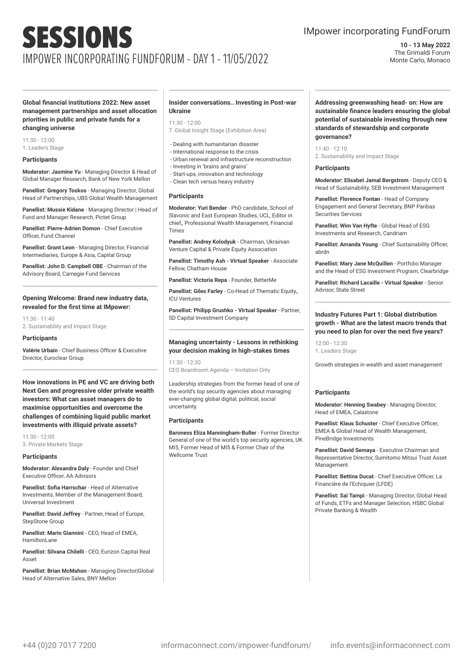### IMpower incorporating FundForum

**10 - 13 May 2022** The Grimaldi Forum Monte Carlo, Monaco

**Global financial institutions 2022: New asset management partnerships and asset allocation priorities in public and private funds for a changing universe**

11:30 - 12:00

1. Leaders Stage

#### **Participants**

**Moderator: Jasmine Yu** - Managing Director & Head of Global Manager Research, Bank of New York Mellon

**Panellist: Gregory Toskos** - Managing Director, Global Head of Partnerships, UBS Global Wealth Management

**Panellist: Mussie Kidane** - Managing Director | Head of Fund and Manager Research, Pictet Group

**Panellist: Pierre-Adrien Domon** - Chief Executive Officer, Fund Channel

**Panellist: Grant Leon** - Managing Director, Financial Intermediaries, Europe & Asia, Capital Group

**Panellist: John D. Campbell OBE** - Chairman of the Advisory Board, Carnegie Fund Services

#### **Opening Welcome: Brand new industry data, revealed for the first time at IMpower:**

11:30 - 11:40 2. Sustainability and Impact Stage

#### **Participants**

**Valérie Urbain** - Chief Business Officer & Executive Director, Euroclear Group

**How innovations in PE and VC are driving both Next Gen and progressive older private wealth investors: What can asset managers do to maximise opportunities and overcome the challenges of combining liquid public market investments with illiquid private assets?**

11:30 - 12:00 3. Private Markets Stage

#### **Participants**

**Moderator: Alexandra Daly** - Founder and Chief Executive Officer, AA Advisors

**Panellist: Sofia Harrschar** - Head of Alternative Investments, Member of the Management Board, Universal Investment

**Panellist: David Jeffrey** - Partner, Head of Europe, StepStone Group

**Panellist: Mario Giannini** - CEO, Head of EMEA, HamiltonLane

**Panellist: Silvana Chilelli** - CEO, Eurizon Capital Real Asset

**Panellist: Brian McMahon** - Managing Director|Global Head of Alternative Sales, BNY Mellon

#### **Insider conversations.. Investing in Post-war Ukraine**

#### 11:30 - 12:00

- 7. Global Insight Stage (Exhibition Area)
- Dealing with humanitarian disaster
- International response to the crisis
- Urban renewal and infrastructure reconstruction - Investing in 'brains and grains'
- Start-ups, innovation and technology
- Clean tech versus heavy industry

#### **Participants**

**Moderator: Yuri Bender** - PhD candidate, School of Slavonic and East European Studies, UCL, Editor in chief,, Professional Wealth Management, Financial Times

**Panellist: Andrey Kolodyuk** - Chairman, Ukrainian Venture Capital & Private Equity Association

**Panellist: Timothy Ash - Virtual Speaker** - Associate Fellow, Chatham House

**Panellist: Victoria Repa** - Founder, BetterMe

**Panellist: Giles Farley** - Co-Head of Thematic Equity,, ICU Ventures

**Panellist: Philipp Grushko - Virtual Speaker** - Partner, SD Capital Investment Company

#### **Managing uncertainty - Lessons in rethinking your decision making in high-stakes times**

11:30 - 12:30 CEO Boardroom Agenda – Invitation Only

Leadership strategies from the former head of one of the world's top security agencies about managing ever-changing global digital, political, social uncertainty.

#### **Participants**

**Baroness Eliza Manningham-Buller** - Former Director General of one of the world's top security agencies, UK MI5, Former Head of MI5 & Former Chair of the Wellcome Trust

**Addressing greenwashing head- on: How are sustainable finance leaders ensuring the global potential of sustainable investing through new standards of stewardship and corporate governance?**

 $11:40 - 12:10$ 2. Sustainability and Impact Stage

#### **Participants**

**Moderator: Elisabet Jamal Bergstrom** - Deputy CEO & Head of Sustainability, SEB Investment Management

**Panellist: Florence Fontan** - Head of Company Engagement and General Secretary, BNP Paribas Securities Services

**Panellist: Wim Van Hyfte** - Global Head of ESG Investments and Research, Candriam

**Panellist: Amanda Young** - Chief Sustainability Officer, abrdn

**Panellist: Mary Jane McQuillen** - Portfolio Manager and the Head of ESG Investment Program, Clearbridge

**Panellist: Richard Lacaille - Virtual Speaker** - Senior Advisor, State Street

#### **Industry Futures Part 1: Global distribution growth - What are the latest macro trends that you need to plan for over the next five years?**

12:00 - 12:30 1. Leaders Stage

Growth strategies in wealth and asset management

#### **Participants**

**Moderator: Henning Swabey** - Managing Director, Head of EMEA, Calastone

**Panellist: Klaus Schuster** - Chief Executive Officer, EMEA & Global Head of Wealth Management, PineBridge Investments

**Panellist: David Semaya** - Executive Chairman and Representative Director, Sumitomo Mitsui Trust Asset Management

**Panellist: Bettina Ducat** - Chief Executive Officer, La Financière de l'Echiquier (LFDE)

**Panellist: Sai Tampi** - Managing Director, Global Head of Funds, ETFs and Manager Selection, HSBC Global Private Banking & Wealth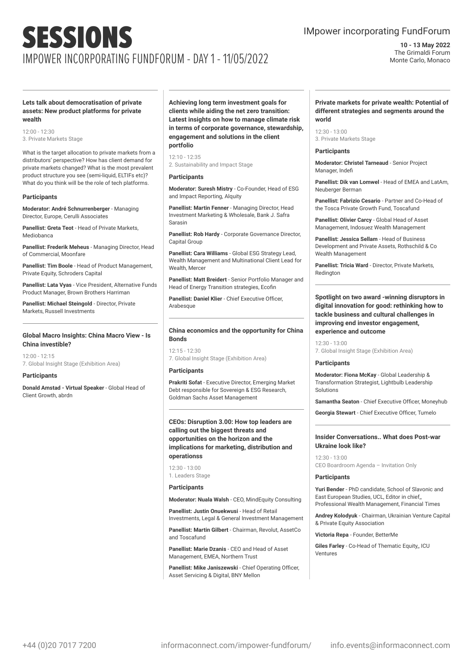### IMpower incorporating FundForum

**10 - 13 May 2022** The Grimaldi Forum Monte Carlo, Monaco

#### **Lets talk about democratisation of private assets: New product platforms for private wealth**

12:00 - 12:30 3. Private Markets Stage

What is the target allocation to private markets from a distributors' perspective? How has client demand for private markets changed? What is the most prevalent product structure you see (semi-liquid, ELTIFs etc)? What do you think will be the role of tech platforms.

#### **Participants**

**Moderator: André Schnurrenberger** - Managing Director, Europe, Cerulli Associates

**Panellist: Greta Teot** - Head of Private Markets, Mediobanca

**Panellist: Frederik Meheus** - Managing Director, Head of Commercial, Moonfare

**Panellist: Tim Boole** - Head of Product Management, Private Equity, Schroders Capital

**Panellist: Lata Vyas** - Vice President, Alternative Funds Product Manager, Brown Brothers Harriman

**Panellist: Michael Steingold - Director Private** Markets, Russell Investments

#### **Global Macro Insights: China Macro View - Is China investible?**

12:00 - 12:15 7. Global Insight Stage (Exhibition Area)

#### **Participants**

**Donald Amstad - Virtual Speaker** - Global Head of Client Growth, abrdn

**Achieving long term investment goals for clients while aiding the net zero transition: Latest insights on how to manage climate risk in terms of corporate governance, stewardship, engagement and solutions in the client portfolio**

12:10 - 12:35 2. Sustainability and Impact Stage

#### **Participants**

**Moderator: Suresh Mistry** - Co-Founder, Head of ESG and Impact Reporting, Alquity

**Panellist: Martin Fenner** - Managing Director, Head Investment Marketing & Wholesale, Bank J. Safra Sarasin

**Panellist: Rob Hardy** - Corporate Governance Director, Capital Group

**Panellist: Cara Williams** - Global ESG Strategy Lead, Wealth Management and Multinational Client Lead for Wealth, Mercer

**Panellist: Matt Breidert** - Senior Portfolio Manager and Head of Energy Transition strategies, Ecofin

**Panellist: Daniel Klier** - Chief Executive Officer, **Arabesque** 

#### **China economics and the opportunity for China Bonds**

 $12.15 - 12.30$ 7. Global Insight Stage (Exhibition Area)

#### **Participants**

**Prakriti Sofat** - Executive Director, Emerging Market Debt responsible for Sovereign & ESG Research, Goldman Sachs Asset Management

#### **CEOs: Disruption 3.00: How top leaders are calling out the biggest threats and opportunities on the horizon and the implications for marketing, distribution and operationss**

 $12:30 - 13:00$ 1. Leaders Stage

#### **Participants**

**Moderator: Nuala Walsh** - CEO, MindEquity Consulting

**Panellist: Justin Onuekwusi** - Head of Retail Investments, Legal & General Investment Management

**Panellist: Martin Gilbert** - Chairman, Revolut, AssetCo and Toscafund

**Panellist: Marie Dzanis** - CEO and Head of Asset Management, EMEA, Northern Trust

**Panellist: Mike Janiszewski** - Chief Operating Officer, Asset Servicing & Digital, BNY Mellon

#### **Private markets for private wealth: Potential of different strategies and segments around the world**

12:30 - 13:00 3. Private Markets Stage

#### **Participants**

**Moderator: Christel Tarneaud** - Senior Project Manager, Indefi

**Panellist: Dik van Lomwel** - Head of EMEA and LatAm, Neuberger Berman

**Panellist: Fabrizio Cesario** - Partner and Co-Head of the Tosca Private Growth Fund, Toscafund

**Panellist: Olivier Carcy** - Global Head of Asset Management, Indosuez Wealth Management

**Panellist: Jessica Sellam** - Head of Business Development and Private Assets, Rothschild & Co Wealth Management

**Panellist: Tricia Ward** - Director, Private Markets, Redington

**Spotlight on two award -winning disruptors in digital innovation for good: rethinking how to tackle business and cultural challenges in improving end investor engagement, experience and outcome**

12:30 - 13:00 7. Global Insight Stage (Exhibition Area)

#### **Participants**

**Moderator: Fiona McKay** - Global Leadership & Transformation Strategist, Lightbulb Leadership Solutions

**Samantha Seaton** - Chief Executive Officer, Moneyhub

**Georgia Stewart** - Chief Executive Officer, Tumelo

#### **Insider Conversations.. What does Post-war Ukraine look like?**

12:30 - 13:00 CEO Boardroom Agenda – Invitation Only

#### **Participants**

**Yuri Bender** - PhD candidate, School of Slavonic and East European Studies, UCL, Editor in chief,, Professional Wealth Management, Financial Times

**Andrey Kolodyuk** - Chairman, Ukrainian Venture Capital & Private Equity Association

**Victoria Repa** - Founder, BetterMe

**Giles Farley** - Co-Head of Thematic Equity,, ICU Ventures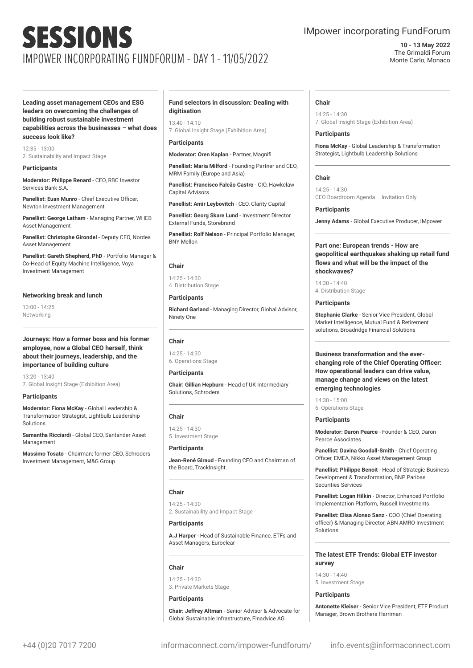### IMpower incorporating FundForum

#### **10 - 13 May 2022** The Grimaldi Forum Monte Carlo, Monaco

**Leading asset management CEOs and ESG leaders on overcoming the challenges of building robust sustainable investment capabilities across the businesses – what does success look like?**

 $12.25 - 12.00$ 2. Sustainability and Impact Stage

#### **Participants**

**Moderator: Philippe Renard** - CEO, RBC Investor Services Bank S.A.

**Panellist: Euan Munro** - Chief Executive Officer, Newton Investment Management

**Panellist: George Latham** - Managing Partner, WHEB Asset Management

**Panellist: Christophe Girondel** - Deputy CEO, Nordea Asset Management

**Panellist: Gareth Shepherd, PhD** - Portfolio Manager & Co-Head of Equity Machine Intelligence, Voya Investment Management

#### **Networking break and lunch**

13:00 - 14:25 Networking

#### **Journeys: How a former boss and his former employee, now a Global CEO herself, think about their journeys, leadership, and the importance of building culture**

13:20 - 13:40 7. Global Insight Stage (Exhibition Area)

#### **Participants**

**Moderator: Fiona McKay** - Global Leadership & Transformation Strategist, Lightbulb Leadership Solutions

**Samantha Ricciardi** - Global CEO, Santander Asset Management

**Massimo Tosato** - Chairman; former CEO, Schroders Investment Management, M&G Group

#### **Fund selectors in discussion: Dealing with digitisation**

13:40 - 14:10

7. Global Insight Stage (Exhibition Area)

#### **Participants**

**Moderator: Oren Kaplan** - Partner, Magnifi

**Panellist: Maria Milford** - Founding Partner and CEO, MRM Family (Europe and Asia)

**Panellist: Francisco Falcão Castro** - CIO, Hawkclaw Capital Advisors

**Panellist: Amir Leybovitch** - CEO, Clarity Capital

**Panellist: Georg Skare Lund** - Investment Director External Funds, Storebrand

**Panellist: Rolf Nelson** - Principal Portfolio Manager, BNY Mellon

#### **Chair**

14:25 - 14:30 4. Distribution Stage

#### **Participants**

**Richard Garland** - Managing Director, Global Advisor, Ninety One

#### **Chair**

14:25 - 14:30 6. Operations Stage

#### **Participants**

**Chair: Gillian Hepburn** - Head of UK Intermediary Solutions, Schroders

#### **Chair**

14:25 - 14:30 5. Investment Stage

#### **Participants**

**Jean-René Giraud** - Founding CEO and Chairman of the Board, TrackInsight

#### **Chair**

14:25 - 14:30 2. Sustainability and Impact Stage

#### **Participants**

**A.J Harper** - Head of Sustainable Finance, ETFs and Asset Managers, Euroclear

#### **Chair**

14:25 - 14:30 3. Private Markets Stage

#### **Participants**

**Chair: Jeffrey Altman** - Senior Advisor & Advocate for Global Sustainable Infrastructure, Finadvice AG

#### **Chair**

14:25 - 14:30 7. Global Insight Stage (Exhibition Area)

#### **Participants**

**Fiona McKay** - Global Leadership & Transformation Strategist, Lightbulb Leadership Solutions

#### **Chair**

14:25 - 14:30 CEO Boardroom Agenda – Invitation Only

#### **Participants**

**Jenny Adams** - Global Executive Producer, IMpower

#### **Part one: European trends - How are geopolitical earthquakes shaking up retail fund flows and what will be the impact of the shockwaves?**

14:30 - 14:40 4. Distribution Stage

#### **Participants**

**Stephanie Clarke** - Senior Vice President, Global Market Intelligence, Mutual Fund & Retirement solutions, Broadridge Financial Solutions

**Business transformation and the everchanging role of the Chief Operating Officer: How operational leaders can drive value, manage change and views on the latest emerging technologies**

 $14.30 - 15.00$ 6. Operations Stage

#### **Participants**

**Moderator: Daron Pearce** - Founder & CEO, Daron Pearce Associates

**Panellist: Davina Goodall-Smith** - Chief Operating Officer, EMEA, Nikko Asset Management Group

**Panellist: Philippe Benoit** - Head of Strategic Business Development & Transformation, BNP Paribas Securities Services

**Panellist: Logan Hilkin** - Director, Enhanced Portfolio Implementation Platform, Russell Investments

**Panellist: Elisa Alonso Sanz** - COO (Chief Operating officer) & Managing Director, ABN AMRO Investment Solutions

#### **The latest ETF Trends: Global ETF investor survey**

14:30 - 14:40 5. Investment Stage

#### **Participants**

**Antonette Kleiser** - Senior Vice President, ETF Product Manager, Brown Brothers Harriman

+44 (0)20 7017 7200 informaconnect.com/impower-fundforum/ info.events@informaconnect.com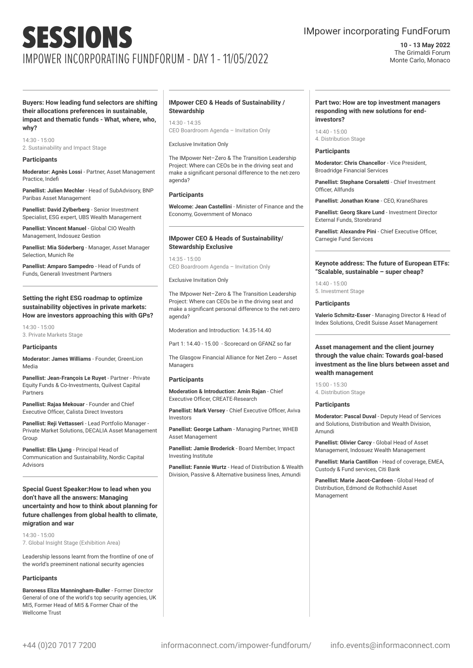### IMpower incorporating FundForum

**10 - 13 May 2022** The Grimaldi Forum Monte Carlo, Monaco

**Buyers: How leading fund selectors are shifting their allocations preferences in sustainable, impact and thematic funds - What, where, who, why?**

14:30 - 15:00 2. Sustainability and Impact Stage

#### **Participants**

**Moderator: Agnès Lossi** - Partner, Asset Management Practice, Indefi

**Panellist: Julien Mechler** - Head of SubAdvisory, BNP Paribas Asset Management

**Panellist: David Zylberberg** - Senior Investment Specialist, ESG expert, UBS Wealth Management

**Panellist: Vincent Manuel** - Global CIO Wealth Management, Indosuez Gestion

**Panellist: Mia Söderberg** - Manager, Asset Manager Selection, Munich Re

**Panellist: Amparo Sampedro** - Head of Funds of Funds, Generali Investment Partners

#### **Setting the right ESG roadmap to optimize sustainability objectives in private markets: How are investors approaching this with GPs?**

14:30 - 15:00 3. Private Markets Stage

#### **Participants**

**Moderator: James Williams** - Founder, GreenLion Media

**Panellist: Jean-François Le Ruyet** - Partner - Private Equity Funds & Co-Investments, Quilvest Capital Partners

**Panellist: Rajaa Mekouar** - Founder and Chief Executive Officer, Calista Direct Investors

**Panellist: Reji Vettasseri** - Lead Portfolio Manager - Private Market Solutions, DECALIA Asset Management Group

**Panellist: Elin Ljung** - Principal Head of Communication and Sustainability, Nordic Capital Advisors

**Special Guest Speaker:How to lead when you don't have all the answers: Managing uncertainty and how to think about planning for future challenges from global health to climate, migration and war**

14:30 - 15:00 7. Global Insight Stage (Exhibition Area)

Leadership lessons learnt from the frontline of one of the world's preeminent national security agencies

#### **Participants**

**Baroness Eliza Manningham-Buller** - Former Director General of one of the world's top security agencies, UK MI5, Former Head of MI5 & Former Chair of the Wellcome Trust

#### **IMpower CEO & Heads of Sustainability / Stewardship**

14:30 - 14:35 CEO Boardroom Agenda – Invitation Only

#### Exclusive Invitation Only

The IMpower Net–Zero & The Transition Leadership Project: Where can CEOs be in the driving seat and make a significant personal difference to the net-zero agenda?

#### **Participants**

**Welcome: Jean Castellini** - Minister of Finance and the Economy, Government of Monaco

#### **IMpower CEO & Heads of Sustainability/ Stewardship Exclusive**

14:35 - 15:00 CEO Boardroom Agenda – Invitation Only

Exclusive Invitation Only

The IMpower Net–Zero & The Transition Leadership Project: Where can CEOs be in the driving seat and make a significant personal difference to the net-zero agenda?

Moderation and Introduction: 14.35-14.40

Part 1: 14.40 - 15.00 - Scorecard on GFANZ so far

The Glasgow Financial Alliance for Net Zero – Asset Managers

#### **Participants**

**Moderation & Introduction: Amin Rajan** - Chief Executive Officer, CREATE-Research

**Panellist: Mark Versey** - Chief Executive Officer, Aviva Investors

**Panellist: George Latham** - Managing Partner, WHEB Asset Management

**Panellist: Jamie Broderick** - Board Member, Impact Investing Institute

**Panellist: Fannie Wurtz** - Head of Distribution & Wealth Division, Passive & Alternative business lines, Amundi

#### **Part two: How are top investment managers responding with new solutions for endinvestors?**

14:40 - 15:00 4. Distribution Stage

#### **Participants**

**Moderator: Chris Chancellor** - Vice President, Broadridge Financial Services

**Panellist: Stephane Corsaletti** - Chief Investment Officer, Allfunds

**Panellist: Jonathan Krane** - CEO, KraneShares

**Panellist: Georg Skare Lund** - Investment Director External Funds, Storebrand

**Panellist: Alexandre Pini** - Chief Executive Officer, Carnegie Fund Services

#### **Keynote address: The future of European ETFs: "Scalable, sustainable – super cheap?**

14:40 - 15:00 5. Investment Stage

#### **Participants**

**Valerio Schmitz-Esser** - Managing Director & Head of Index Solutions, Credit Suisse Asset Management

#### **Asset management and the client journey through the value chain: Towards goal-based investment as the line blurs between asset and wealth management**

15:00 - 15:30 4. Distribution Stage

#### **Participants**

**Moderator: Pascal Duval** - Deputy Head of Services and Solutions, Distribution and Wealth Division, Amundi

**Panellist: Olivier Carcy** - Global Head of Asset Management, Indosuez Wealth Management

**Panellist: Maria Cantillon** - Head of coverage, EMEA, Custody & Fund services, Citi Bank

**Panellist: Marie Jacot-Cardoen** - Global Head of Distribution, Edmond de Rothschild Asset Management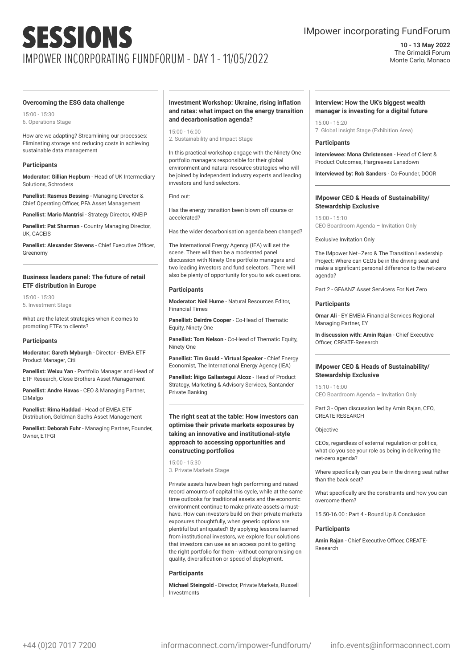### IMpower incorporating FundForum

**10 - 13 May 2022** The Grimaldi Forum Monte Carlo, Monaco

#### **Overcoming the ESG data challenge**

15:00 - 15:30 6. Operations Stage

How are we adapting? Streamlining our processes: Eliminating storage and reducing costs in achieving sustainable data management

#### **Participants**

**Moderator: Gillian Hepburn** - Head of UK Intermediary Solutions, Schroders

**Panellist: Rasmus Bessing** - Managing Director & Chief Operating Officer, PFA Asset Management

**Panellist: Mario Mantrisi** - Strategy Director, KNEIP

**Panellist: Pat Sharman** - Country Managing Director, UK, CACEIS

**Panellist: Alexander Stevens** - Chief Executive Officer, Greenomy

#### **Business leaders panel: The future of retail ETF distribution in Europe**

15:00 - 15:30 5. Investment Stage

What are the latest strategies when it comes to promoting ETFs to clients?

#### **Participants**

**Moderator: Gareth Myburgh** - Director - EMEA ETF Product Manager, Citi

**Panellist: Weixu Yan** - Portfolio Manager and Head of ETF Research, Close Brothers Asset Management

**Panellist: Andre Havas** - CEO & Managing Partner, **CIMalgo** 

**Panellist: Rima Haddad** - Head of EMEA ETF Distribution, Goldman Sachs Asset Management

**Panellist: Deborah Fuhr** - Managing Partner, Founder, Owner, ETFGI

#### **Investment Workshop: Ukraine, rising inflation and rates: what impact on the energy transition and decarbonisation agenda?**

15:00 - 16:00 2. Sustainability and Impact Stage

In this practical workshop engage with the Ninety One portfolio managers responsible for their global environment and natural resource strategies who will be joined by independent industry experts and leading investors and fund selectors.

Find out:

Has the energy transition been blown off course or accelerated?

Has the wider decarbonisation agenda been changed?

The International Energy Agency (IEA) will set the scene. There will then be a moderated panel discussion with Ninety One portfolio managers and two leading investors and fund selectors. There will also be plenty of opportunity for you to ask questions.

#### **Participants**

**Moderator: Neil Hume** - Natural Resources Editor, Financial Times

**Panellist: Deirdre Cooper** - Co-Head of Thematic Equity, Ninety One

**Panellist: Tom Nelson** - Co-Head of Thematic Equity, Ninety One

**Panellist: Tim Gould - Virtual Speaker** - Chief Energy Economist, The International Energy Agency (IEA)

**Panellist: Íñigo Gallastegui Alcoz** - Head of Product Strategy, Marketing & Advisory Services, Santander Private Banking

#### **The right seat at the table: How investors can optimise their private markets exposures by taking an innovative and institutional-style approach to accessing opportunities and constructing portfolios**

15:00 - 15:30 3. Private Markets Stage

Private assets have been high performing and raised record amounts of capital this cycle, while at the same time outlooks for traditional assets and the economic environment continue to make private assets a musthave. How can investors build on their private markets exposures thoughtfully, when generic options are plentiful but antiquated? By applying lessons learned from institutional investors, we explore four solutions that investors can use as an access point to getting the right portfolio for them - without compromising on quality, diversification or speed of deployment.

#### **Participants**

**Michael Steingold** - Director, Private Markets, Russell Investments

#### **Interview: How the UK's biggest wealth manager is investing for a digital future**

15:00 - 15:20 7. Global Insight Stage (Exhibition Area)

#### **Participants**

**interviewee: Mona Christensen** - Head of Client & Product Outcomes, Hargreaves Lansdown

**Interviewed by: Rob Sanders** - Co-Founder, DOOR

#### **IMpower CEO & Heads of Sustainability/ Stewardship Exclusive**

15:00 - 15:10 CEO Boardroom Agenda – Invitation Only

Exclusive Invitation Only

The IMpower Net–Zero & The Transition Leadership Project: Where can CEOs be in the driving seat and make a significant personal difference to the net-zero agenda?

Part 2 - GFAANZ Asset Servicers For Net Zero

#### **Participants**

**Omar Ali** - EY EMEIA Financial Services Regional Managing Partner, EY

**In discussion with: Amin Rajan** - Chief Executive Officer, CREATE-Research

#### **IMpower CEO & Heads of Sustainability/ Stewardship Exclusive**

15:10 - 16:00 CEO Boardroom Agenda – Invitation Only

Part 3 - Open discussion led by Amin Rajan, CEO, CREATE RESEARCH

#### Objective

CEOs, regardless of external regulation or politics, what do you see your role as being in delivering the net-zero agenda?

Where specifically can you be in the driving seat rather than the back seat?

What specifically are the constraints and how you can overcome them?

15.50-16.00 : Part 4 - Round Up & Conclusion

#### **Participants**

**Amin Rajan** - Chief Executive Officer, CREATE-Research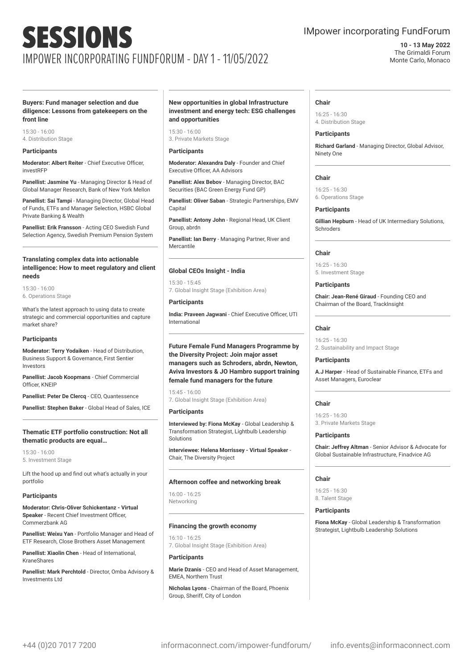### IMpower incorporating FundForum

#### **10 - 13 May 2022** The Grimaldi Forum Monte Carlo, Monaco

#### **Buyers: Fund manager selection and due diligence: Lessons from gatekeepers on the front line**

15:30 - 16:00 4. Distribution Stage

#### **Participants**

**Moderator: Albert Reiter** - Chief Executive Officer, investRFP

**Panellist: Jasmine Yu** - Managing Director & Head of Global Manager Research, Bank of New York Mellon

**Panellist: Sai Tampi** - Managing Director, Global Head of Funds, ETFs and Manager Selection, HSBC Global Private Banking & Wealth

**Panellist: Erik Fransson** - Acting CEO Swedish Fund Selection Agency, Swedish Premium Pension System

#### **Translating complex data into actionable intelligence: How to meet regulatory and client needs**

15:30 - 16:00 6. Operations Stage

What's the latest approach to using data to create strategic and commercial opportunities and capture market share?

#### **Participants**

**Moderator: Terry Yodaiken** - Head of Distribution, Business Support & Governance, First Sentier Investors

**Panellist: Jacob Koopmans** - Chief Commercial Officer, KNEIP

**Panellist: Peter De Clercq** - CEO, Quantessence

**Panellist: Stephen Baker** - Global Head of Sales, ICE

#### **Thematic ETF portfolio construction: Not all thematic products are equal…**

15:30 - 16:00 5. Investment Stage

Lift the hood up and find out what's actually in your portfolio

#### **Participants**

**Moderator: Chris-Oliver Schickentanz - Virtual Speaker** - Recent Chief Investment Officer, Commerzbank AG

**Panellist: Weixu Yan** - Portfolio Manager and Head of ETF Research, Close Brothers Asset Management

**Panellist: Xiaolin Chen** - Head of International, KraneShares

**Panellist: Mark Perchtold** - Director, Omba Advisory & Investments Ltd

#### **New opportunities in global Infrastructure investment and energy tech: ESG challenges and opportunities**

15:30 - 16:00 3. Private Markets Stage

#### **Participants**

**Moderator: Alexandra Daly** - Founder and Chief Executive Officer, AA Advisors

**Panellist: Alex Bebov** - Managing Director, BAC Securities (BAC Green Energy Fund GP)

**Panellist: Oliver Saban** - Strategic Partnerships, EMV Capital

**Panellist: Antony John** - Regional Head, UK Client Group, abrdn

**Panellist: Ian Berry** - Managing Partner, River and Mercantile

#### **Global CEOs Insight - India**

15:30 - 15:45 7. Global Insight Stage (Exhibition Area)

**Participants**

**India: Praveen Jagwani** - Chief Executive Officer, UTI International

**Future Female Fund Managers Programme by the Diversity Project: Join major asset managers such as Schroders, abrdn, Newton, Aviva Investors & JO Hambro support training female fund managers for the future**

15:45 - 16:00 7. Global Insight Stage (Exhibition Area)

#### **Participants**

**Interviewed by: Fiona McKay** - Global Leadership & Transformation Strategist, Lightbulb Leadership Solutions

**interviewee: Helena Morrissey - Virtual Speaker** - Chair, The Diversity Project

#### **Afternoon coffee and networking break**

16:00 - 16:25 Networking

#### **Financing the growth economy**

16:10 - 16:25 7. Global Insight Stage (Exhibition Area)

#### **Participants**

**Marie Dzanis** - CEO and Head of Asset Management, EMEA, Northern Trust

**Nicholas Lyons** - Chairman of the Board, Phoenix Group, Sheriff, City of London

#### **Chair**

16:25 - 16:30 4. Distribution Stage

#### **Participants**

**Richard Garland** - Managing Director, Global Advisor, Ninety One

#### **Chair**

16:25 - 16:30 6. Operations Stage

#### **Participants**

**Gillian Hepburn** - Head of UK Intermediary Solutions, Schroders

#### **Chair**

16:25 - 16:30 5. Investment Stage

#### **Participants**

**Chair: Jean-René Giraud** - Founding CEO and Chairman of the Board, TrackInsight

#### **Chair**

16:25 - 16:30 2. Sustainability and Impact Stage

#### **Participants**

**A.J Harper** - Head of Sustainable Finance, ETFs and Asset Managers, Euroclear

#### **Chair**

 $16.25 - 16.30$ 3. Private Markets Stage

#### **Participants**

**Chair: Jeffrey Altman** - Senior Advisor & Advocate for Global Sustainable Infrastructure, Finadvice AG

#### **Chair**

16:25 - 16:30 8. Talent Stage

#### **Participants**

**Fiona McKay** - Global Leadership & Transformation Strategist, Lightbulb Leadership Solutions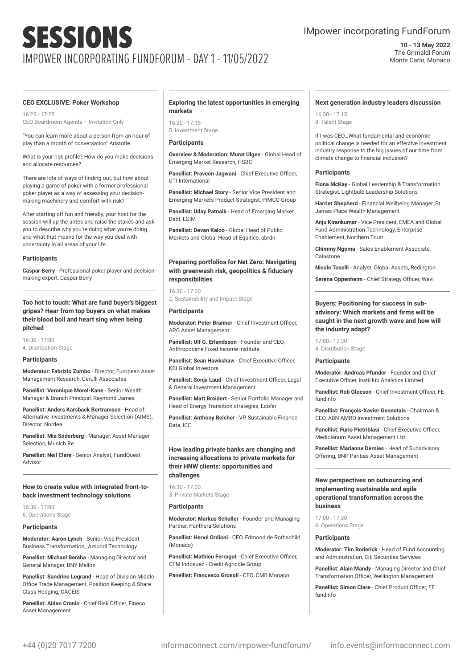### IMpower incorporating FundForum

**10 - 13 May 2022** The Grimaldi Forum Monte Carlo, Monaco

#### **CEO EXCLUSIVE: Poker Workshop**

16:25 - 17:25 CEO Boardroom Agenda – Invitation Only

"You can learn more about a person from an hour of play than a month of conversation" Aristotle

What is your risk profile? How do you make decisions and allocate resources?

There are lots of ways of finding out, but how about playing a game of poker with a former professional poker player as a way of assessing your decisionmaking machinery and comfort with risk?

After starting off fun and friendly, your host for the session will up the antes and raise the stakes and ask you to describe why you're doing what you're doing and what that means for the way you deal with uncertainty in all areas of your life.

#### **Participants**

**Caspar Berry** - Professional poker player and decisionmaking expert, Caspar Berry

#### **Too hot to touch: What are fund buyer's biggest gripes? Hear from top buyers on what makes their blood boil and heart sing when being pitched**

16:30 - 17:00 4. Distribution Stage

#### **Participants**

**Moderator: Fabrizio Zumbo** - Director, European Asset Management Research, Cerulli Associates

**Panellist: Veronique Morel-Kane** - Senior Wealth Manager & Branch Principal, Raymond James

**Panellist: Anders Karsbaek Bertramsen** - Head of Alternative Investments & Manager Selection (AIMS), Director, Nordea

**Panellist: Mia Söderberg** - Manager, Asset Manager Selection, Munich Re

**Panellist: Neil Clare** - Senior Analyst, FundQuest Advisor

#### **How to create value with integrated front-toback investment technology solutions**

16:30 - 17:00 6. Operations Stage

#### **Participants**

**Moderator: Aaron Lynch** - Senior Vice President Business Transformation,, Amundi Technology

**Panellist: Michael Beraha** - Managing Director and General Manager, BNY Mellon

**Panellist: Sandrine Legrand** - Head of Division Middle Office Trade Management, Position Keeping & Share Class Hedging, CACEIS

**Panellist: Aidan Cronin** - Chief Risk Officer, Fineco Asset Management

#### **Exploring the latest opportunities in emerging markets**

16:30 - 17:15

5. Investment Stage

#### **Participants**

**Overview & Moderation: Murat Ulgen - Global Head of** Emerging Market Research, HSBC

**Panellist: Praveen Jagwani** - Chief Executive Officer, UTI International

**Panellist: Michael Story** - Senior Vice President and Emerging Markets Product Strategist, PIMCO Group

**Panellist: Uday Patnaik** - Head of Emerging Market Debt, LGIM

**Panellist: Devan Kaloo** - Global Head of Public Markets and Global Head of Equities, abrdn

#### **Preparing portfolios for Net Zero: Navigating with greenwash risk, geopolitics & fiduciary responsibilities**

16:30 - 17:00 2. Sustainability and Impact Stage

#### **Participants**

**Moderator: Peter Branner** - Chief Investment Officer, APG Asset Management

**Panellist: Ulf G. Erlandsson** - Founder and CEO, Anthropocene Fixed Income Institute

**Panellist: Sean Hawkshaw** - Chief Executive Officer, KBI Global Investors

**Panellist: Sonja Laud** - Chief Investment Officer, Legal & General Investment Management

**Panellist: Matt Breidert** - Senior Portfolio Manager and Head of Energy Transition strategies, Ecofin

**Panellist: Anthony Belcher** - VP, Sustainable Finance Data, ICE

#### **How leading private banks are changing and increasing allocations to private markets for their HNW clients: opportunities and challenges**

#### 16:30 - 17:00

3. Private Markets Stage

#### **Participants**

**Moderator: Markus Schuller** - Founder and Managing Partner, Panthera Solutions

**Panellist: Hervé Ordioni** - CEO, Edmond de Rothschild (Monaco)

**Panellist: Mathieu Ferragut** - Chief Executive Officer, CFM Indosuez - Credit Agricole Group

**Panellist: Francesco Grosoli** - CEO, CMB Monaco

#### **Next generation industry leaders discussion**

16:30 - 17:15 8. Talent Stage

If I was CEO…What fundamental and economic political change is needed for an effective investment industry response to the big issues of our time from climate change to financial inclusion?

#### **Participants**

**Fiona McKay** - Global Leadership & Transformation Strategist, Lightbulb Leadership Solutions

**Harriet Shepherd** - Financial Wellbeing Manager, St James Place Wealth Management

**Anju Kirankumar** - Vice President, EMEA and Global Fund Administration Technology, Enterprise Enablement, Northern Trust

**Chimmy Ngoma** - Sales Enablement Associate, Calastone

**Nicole Toselli** - Analyst, Global Assets, Redington

**Serena Oppenheim** - Chief Strategy Officer, Wavi

#### **Buyers: Positioning for success in subadvisory: Which markets and firms will be caught in the next growth wave and how will the industry adapt?**

17:00 - 17:30 4. Distribution Stage

#### **Participants**

**Moderator: Andreas Pfunder** - Founder and Chief Executive Officer, instiHub Analytics Limited

**Panellist: Rob Gleeson** - Chief Investment Officer, FE fundinfo

**Panellist: François-Xavier Gennetais** - Chairman & CEO, ABN AMRO Investment Solutions

**Panellist: Furio Pietribiasi** - Chief Executive Officer, Mediolanum Asset Management Ltd

**Panellist: Marianne Dernies** - Head of Subadvisory Offering, BNP Paribas Asset Management

#### **New perspectives on outsourcing and implementing sustainable and agile operational transformation across the business**

 $17:00 - 17:30$ 6. Operations Stage

#### **Participants**

**Moderator: Tim Roderick** - Head of Fund Accounting and Administration, Citi Securities Services

**Panellist: Alain Mandy** - Managing Director and Chief Transformation Officer, Wellington Management

**Panellist: Simon Clare** - Chief Product Officer, FE fundinfo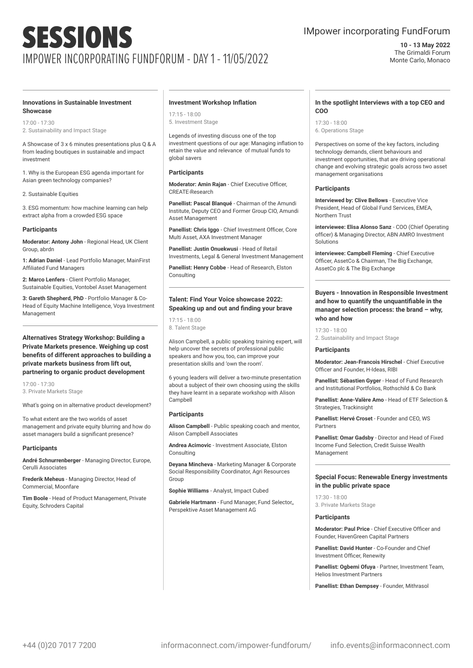### IMpower incorporating FundForum

**10 - 13 May 2022** The Grimaldi Forum Monte Carlo, Monaco

#### **Innovations in Sustainable Investment Showcase**

17:00 - 17:30 2. Sustainability and Impact Stage

A Showcase of 3 x 6 minutes presentations plus Q & A from leading boutiques in sustainable and impact investment

1. Why is the European ESG agenda important for Asian green technology companies?

2. Sustainable Equities

3. ESG momentum: how machine learning can help extract alpha from a crowded ESG space

#### **Participants**

**Moderator: Antony John** - Regional Head, UK Client Group, abrdn

**1: Adrian Daniel** - Lead Portfolio Manager, MainFirst Affiliated Fund Managers

**2: Marco Lenfers** - Client Portfolio Manager, Sustainable Equities, Vontobel Asset Management

**3: Gareth Shepherd, PhD** - Portfolio Manager & Co-Head of Equity Machine Intelligence, Voya Investment Management

**Alternatives Strategy Workshop: Building a Private Markets presence. Weighing up cost benefits of different approaches to building a private markets business from lift out, partnering to organic product development**

17:00 - 17:30 3. Private Markets Stage

What's going on in alternative product development?

To what extent are the two worlds of asset management and private equity blurring and how do asset managers build a significant presence?

#### **Participants**

**André Schnurrenberger** - Managing Director, Europe, Cerulli Associates

**Frederik Meheus** - Managing Director, Head of Commercial, Moonfare

**Tim Boole** - Head of Product Management, Private Equity, Schroders Capital

#### **Investment Workshop Inflation**

17:15 - 18:00 5. Investment Stage

Legends of investing discuss one of the top investment questions of our age: Managing inflation to retain the value and relevance of mutual funds to global savers

#### **Participants**

**Moderator: Amin Rajan** - Chief Executive Officer, CREATE-Research

**Panellist: Pascal Blanqué** - Chairman of the Amundi Institute, Deputy CEO and Former Group CIO, Amundi Asset Management

**Panellist: Chris Iggo** - Chief Investment Officer, Core Multi Asset, AXA Investment Manager

**Panellist: Justin Onuekwusi** - Head of Retail Investments, Legal & General Investment Management

**Panellist: Henry Cobbe** - Head of Research, Elston Consulting

#### **Talent: Find Your Voice showcase 2022: Speaking up and out and finding your brave**

17:15 - 18:00 8. Talent Stage

Alison Campbell, a public speaking training expert, will help uncover the secrets of professional public speakers and how you, too, can improve your presentation skills and 'own the room'.

6 young leaders will deliver a two-minute presentation about a subject of their own choosing using the skills they have learnt in a separate workshop with Alison Campbell

#### **Participants**

**Alison Campbell** - Public speaking coach and mentor, Alison Campbell Associates

**Andrea Acimovic** - Investment Associate, Elston **Consulting** 

**Deyana Mincheva** - Marketing Manager & Corporate Social Responsibility Coordinator, Agri Resources Group

**Sophie Williams** - Analyst, Impact Cubed

**Gabriele Hartmann** - Fund Manager, Fund Selector,, Perspektive Asset Management AG

#### **In the spotlight Interviews with a top CEO and COO**

17:30 - 18:00 6. Operations Stage

Perspectives on some of the key factors, including technology demands, client behaviours and investment opportunities, that are driving operational change and evolving strategic goals across two asset management organisations

#### **Participants**

**Interviewed by: Clive Bellows** - Executive Vice President, Head of Global Fund Services, EMEA, Northern Trust

**interviewee: Elisa Alonso Sanz** - COO (Chief Operating officer) & Managing Director, ABN AMRO Investment Solutions

**interviewee: Campbell Fleming** - Chief Executive Officer, AssetCo & Chairman, The Big Exchange, AssetCo plc & The Big Exchange

#### **Buyers - Innovation in Responsible Investment and how to quantify the unquantifiable in the manager selection process: the brand – why, who and how**

17:30 - 18:00 2. Sustainability and Impact Stage

#### **Participants**

**Moderator: Jean-Francois Hirschel** - Chief Executive Officer and Founder, H-Ideas, RIBI

**Panellist: Sébastien Gyger** - Head of Fund Research and Institutional Portfolios, Rothschild & Co Bank

**Panellist: Anne-Valère Amo** - Head of ETF Selection & Strategies, Trackinsight

**Panellist: Hervé Croset** - Founder and CEO, WS Partners

**Panellist: Omar Gadsby** - Director and Head of Fixed Income Fund Selection, Credit Suisse Wealth Management

#### **Special Focus: Renewable Energy investments in the public private space**

17:30 - 18:00 3. Private Markets Stage

#### **Participants**

**Moderator: Paul Price** - Chief Executive Officer and Founder, HavenGreen Capital Partners

**Panellist: David Hunter** - Co-Founder and Chief Investment Officer, Renewity

**Panellist: Ogbemi Ofuya** - Partner, Investment Team, Helios Investment Partners

**Panellist: Ethan Dempsey** - Founder, Mithrasol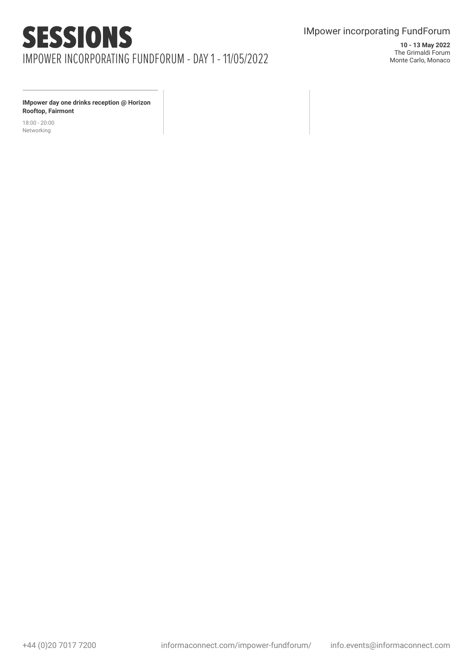### IMpower incorporating FundForum

**10 - 13 May 2022** The Grimaldi Forum Monte Carlo, Monaco

**IMpower day one drinks reception @ Horizon Rooftop, Fairmont**

18:00 - 20:00 Networking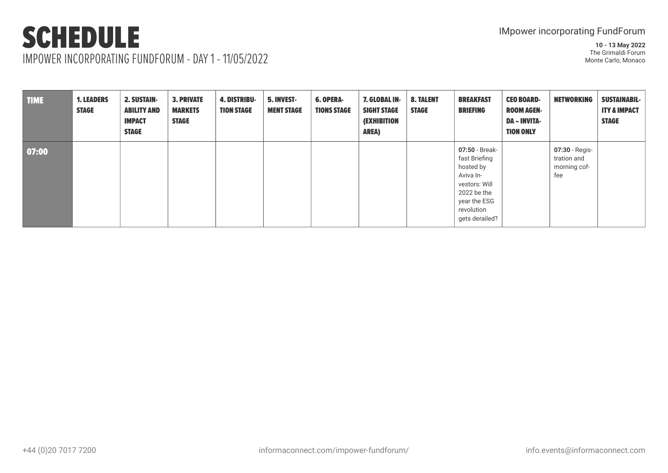### **SCHEDULE** IMPOWER INCORPORATING FUNDFORUM - DAY 1 - 11/05/2022

| <b>TIME</b> | <b>1. LEADERS</b><br><b>STAGE</b> | <b>2. SUSTAIN-</b><br><b>ABILITY AND</b><br><b>IMPACT</b><br><b>STAGE</b> | <b>3. PRIVATE</b><br><b>MARKETS</b><br><b>STAGE</b> | <b>4. DISTRIBU-</b><br><b>TION STAGE</b> | 5. INVEST-<br><b>MENT STAGE</b> | <b>6. OPERA-</b><br><b>TIONS STAGE</b> | 7. GLOBAL IN-<br><b>SIGHT STAGE</b><br><i><b>(EXHIBITION</b></i><br><b>AREA)</b> | <b>8. TALENT</b><br><b>STAGE</b> | <b>BREAKFAST</b><br><b>BRIEFING</b>                                                                                                       | <b>CEO BOARD-</b><br><b>ROOM AGEN-</b><br><b>DA – INVITA-</b><br><b>TION ONLY</b> | <b>NETWORKING</b>                                    | <b>SUSTAINABIL-</b><br><b>ITY &amp; IMPACT</b><br><b>STAGE</b> |
|-------------|-----------------------------------|---------------------------------------------------------------------------|-----------------------------------------------------|------------------------------------------|---------------------------------|----------------------------------------|----------------------------------------------------------------------------------|----------------------------------|-------------------------------------------------------------------------------------------------------------------------------------------|-----------------------------------------------------------------------------------|------------------------------------------------------|----------------------------------------------------------------|
| 07:00       |                                   |                                                                           |                                                     |                                          |                                 |                                        |                                                                                  |                                  | 07:50 - Break-<br>fast Briefing<br>hosted by<br>Aviva In-<br>vestors: Will<br>2022 be the<br>year the ESG<br>revolution<br>gets derailed? |                                                                                   | 07:30 - Regis-<br>tration and<br>morning cof-<br>fee |                                                                |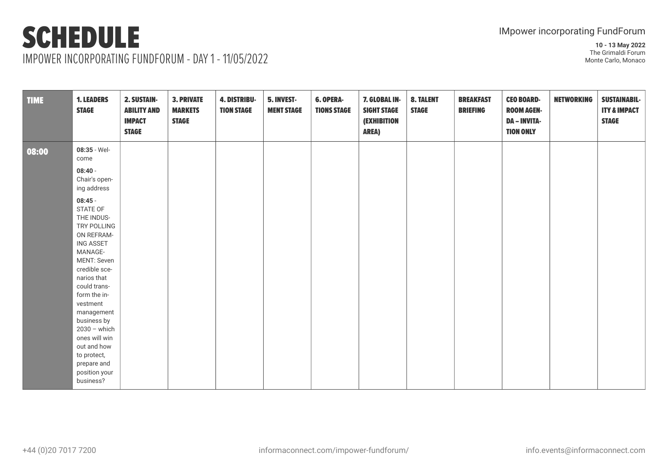## SCHEDULE IMPOWER INCORPORATING FUNDFORUM - DAY 1 - 11/05/2022

| <b>TIME</b> | <b>1. LEADERS</b><br><b>STAGE</b>                                                                                                                                                                                                                                                                                                     | 2. SUSTAIN-<br><b>ABILITY AND</b><br><b>IMPACT</b><br><b>STAGE</b> | <b>3. PRIVATE</b><br><b>MARKETS</b><br><b>STAGE</b> | <b>4. DISTRIBU-</b><br><b>TION STAGE</b> | 5. INVEST-<br><b>MENT STAGE</b> | <b>6. OPERA-</b><br><b>TIONS STAGE</b> | 7. GLOBAL IN-<br><b>SIGHT STAGE</b><br><b>(EXHIBITION</b><br><b>AREA)</b> | <b>8. TALENT</b><br><b>STAGE</b> | <b>BREAKFAST</b><br><b>BRIEFING</b> | <b>CEO BOARD-</b><br><b>ROOM AGEN-</b><br><b>DA - INVITA-</b><br><b>TION ONLY</b> | <b>NETWORKING</b> | <b>SUSTAINABIL-</b><br><b>ITY &amp; IMPACT</b><br><b>STAGE</b> |
|-------------|---------------------------------------------------------------------------------------------------------------------------------------------------------------------------------------------------------------------------------------------------------------------------------------------------------------------------------------|--------------------------------------------------------------------|-----------------------------------------------------|------------------------------------------|---------------------------------|----------------------------------------|---------------------------------------------------------------------------|----------------------------------|-------------------------------------|-----------------------------------------------------------------------------------|-------------------|----------------------------------------------------------------|
| 08:00       | 08:35 - Wel-<br>come                                                                                                                                                                                                                                                                                                                  |                                                                    |                                                     |                                          |                                 |                                        |                                                                           |                                  |                                     |                                                                                   |                   |                                                                |
|             | $08:40 -$<br>Chair's open-<br>ing address                                                                                                                                                                                                                                                                                             |                                                                    |                                                     |                                          |                                 |                                        |                                                                           |                                  |                                     |                                                                                   |                   |                                                                |
|             | $08:45 -$<br>STATE OF<br>THE INDUS-<br>TRY POLLING<br>ON REFRAM-<br><b>ING ASSET</b><br>MANAGE-<br>MENT: Seven<br>credible sce-<br>narios that<br>could trans-<br>form the in-<br>vestment<br>management<br>business by<br>$2030 -$ which<br>ones will win<br>out and how<br>to protect,<br>prepare and<br>position your<br>business? |                                                                    |                                                     |                                          |                                 |                                        |                                                                           |                                  |                                     |                                                                                   |                   |                                                                |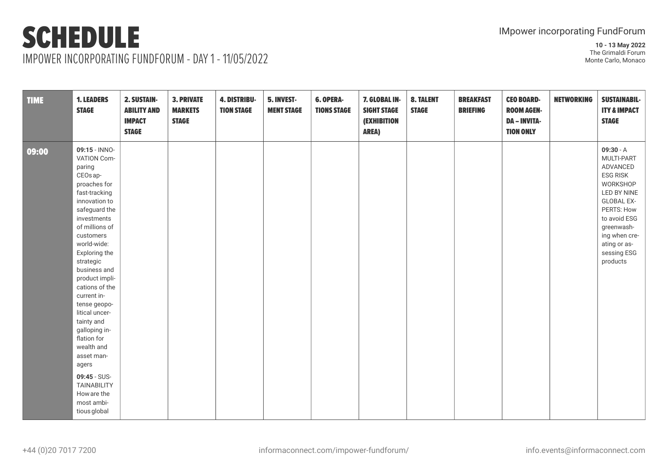**10 - 13 May 2022** The Grimaldi Forum Monte Carlo, Monaco

IMPOWER INCORPORATING FUNDFORUM - DAY 1 - 11/05/2022

| <b>TIME</b> | <b>1. LEADERS</b><br><b>STAGE</b>                                                                                                                                                                                                                                                                                                                                                                                                                                                           | 2. SUSTAIN-<br><b>ABILITY AND</b><br><b>IMPACT</b><br><b>STAGE</b> | <b>3. PRIVATE</b><br><b>MARKETS</b><br><b>STAGE</b> | <b>4. DISTRIBU-</b><br><b>TION STAGE</b> | 5. INVEST-<br><b>MENT STAGE</b> | 6. OPERA-<br><b>TIONS STAGE</b> | 7. GLOBAL IN-<br><b>SIGHT STAGE</b><br><b>(EXHIBITION</b><br><b>AREA)</b> | <b>8. TALENT</b><br><b>STAGE</b> | <b>BREAKFAST</b><br><b>BRIEFING</b> | <b>CEO BOARD-</b><br><b>ROOM AGEN-</b><br><b>DA - INVITA-</b><br><b>TION ONLY</b> | <b>NETWORKING</b> | <b>SUSTAINABIL-</b><br><b>ITY &amp; IMPACT</b><br><b>STAGE</b>                                                                                                                                                   |
|-------------|---------------------------------------------------------------------------------------------------------------------------------------------------------------------------------------------------------------------------------------------------------------------------------------------------------------------------------------------------------------------------------------------------------------------------------------------------------------------------------------------|--------------------------------------------------------------------|-----------------------------------------------------|------------------------------------------|---------------------------------|---------------------------------|---------------------------------------------------------------------------|----------------------------------|-------------------------------------|-----------------------------------------------------------------------------------|-------------------|------------------------------------------------------------------------------------------------------------------------------------------------------------------------------------------------------------------|
| 09:00       | 09:15 - INNO-<br>VATION Com-<br>paring<br>CEOs ap-<br>proaches for<br>fast-tracking<br>innovation to<br>safeguard the<br>investments<br>of millions of<br>customers<br>world-wide:<br>Exploring the<br>strategic<br>business and<br>product impli-<br>cations of the<br>current in-<br>tense geopo-<br>litical uncer-<br>tainty and<br>galloping in-<br>flation for<br>wealth and<br>asset man-<br>agers<br>09:45 - SUS-<br><b>TAINABILITY</b><br>How are the<br>most ambi-<br>tious global |                                                                    |                                                     |                                          |                                 |                                 |                                                                           |                                  |                                     |                                                                                   |                   | $09:30 - A$<br>MULTI-PART<br>ADVANCED<br><b>ESG RISK</b><br>WORKSHOP<br>LED BY NINE<br><b>GLOBAL EX-</b><br>PERTS: How<br>to avoid ESG<br>greenwash-<br>ing when cre-<br>ating or as-<br>sessing ESG<br>products |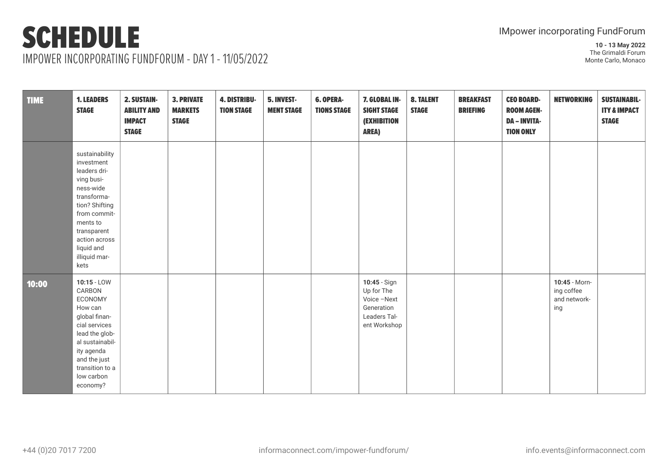IMPOWER INCORPORATING FUNDFORUM - DAY 1 - 11/05/2022

| <b>TIME</b> | <b>1. LEADERS</b><br><b>STAGE</b>                                                                                                                                                                           | 2. SUSTAIN-<br><b>ABILITY AND</b><br><b>IMPACT</b><br><b>STAGE</b> | <b>3. PRIVATE</b><br><b>MARKETS</b><br><b>STAGE</b> | <b>4. DISTRIBU-</b><br><b>TION STAGE</b> | 5. INVEST-<br><b>MENT STAGE</b> | <b>6. OPERA-</b><br><b>TIONS STAGE</b> | 7. GLOBAL IN-<br><b>SIGHT STAGE</b><br><b>(EXHIBITION</b><br><b>AREA)</b>              | <b>8. TALENT</b><br><b>STAGE</b> | <b>BREAKFAST</b><br><b>BRIEFING</b> | <b>CEO BOARD-</b><br><b>ROOM AGEN-</b><br><b>DA - INVITA-</b><br><b>TION ONLY</b> | <b>NETWORKING</b>                                  | <b>SUSTAINABIL-</b><br><b>ITY &amp; IMPACT</b><br><b>STAGE</b> |
|-------------|-------------------------------------------------------------------------------------------------------------------------------------------------------------------------------------------------------------|--------------------------------------------------------------------|-----------------------------------------------------|------------------------------------------|---------------------------------|----------------------------------------|----------------------------------------------------------------------------------------|----------------------------------|-------------------------------------|-----------------------------------------------------------------------------------|----------------------------------------------------|----------------------------------------------------------------|
|             | sustainability<br>investment<br>leaders dri-<br>ving busi-<br>ness-wide<br>transforma-<br>tion? Shifting<br>from commit-<br>ments to<br>transparent<br>action across<br>liquid and<br>illiquid mar-<br>kets |                                                                    |                                                     |                                          |                                 |                                        |                                                                                        |                                  |                                     |                                                                                   |                                                    |                                                                |
| 10:00       | $10:15 - LOW$<br>CARBON<br>ECONOMY<br>How can<br>global finan-<br>cial services<br>lead the glob-<br>al sustainabil-<br>ity agenda<br>and the just<br>transition to a<br>low carbon<br>economy?             |                                                                    |                                                     |                                          |                                 |                                        | 10:45 - Sign<br>Up for The<br>Voice-Next<br>Generation<br>Leaders Tal-<br>ent Workshop |                                  |                                     |                                                                                   | 10:45 - Morn-<br>ing coffee<br>and network-<br>ing |                                                                |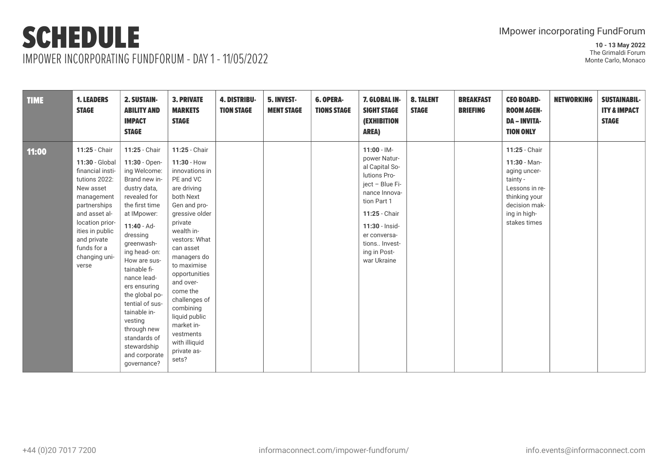IMPOWER INCORPORATING FUNDFORUM - DAY 1 - 11/05/2022

| <b>TIME</b> | <b>1. LEADERS</b><br><b>STAGE</b>                                                                                                                                                                                              | <b>2. SUSTAIN-</b><br><b>ABILITY AND</b><br><b>IMPACT</b><br><b>STAGE</b>                                                                                                                                                                                                                                                                                                                                 | <b>3. PRIVATE</b><br><b>MARKETS</b><br><b>STAGE</b>                                                                                                                                                                                                                                                                                                                         | <b>4. DISTRIBU-</b><br><b>TION STAGE</b> | 5. INVEST-<br><b>MENT STAGE</b> | <b>6. OPERA-</b><br><b>TIONS STAGE</b> | 7. GLOBAL IN-<br><b>SIGHT STAGE</b><br><b>(EXHIBITION</b><br><b>AREA)</b>                                                                                                                                              | <b>8. TALENT</b><br><b>STAGE</b> | <b>BREAKFAST</b><br><b>BRIEFING</b> | <b>CEO BOARD-</b><br><b>ROOM AGEN-</b><br><b>DA - INVITA-</b><br><b>TION ONLY</b>                                                               | <b>NETWORKING</b> | <b>SUSTAINABIL-</b><br><b>ITY &amp; IMPACT</b><br><b>STAGE</b> |
|-------------|--------------------------------------------------------------------------------------------------------------------------------------------------------------------------------------------------------------------------------|-----------------------------------------------------------------------------------------------------------------------------------------------------------------------------------------------------------------------------------------------------------------------------------------------------------------------------------------------------------------------------------------------------------|-----------------------------------------------------------------------------------------------------------------------------------------------------------------------------------------------------------------------------------------------------------------------------------------------------------------------------------------------------------------------------|------------------------------------------|---------------------------------|----------------------------------------|------------------------------------------------------------------------------------------------------------------------------------------------------------------------------------------------------------------------|----------------------------------|-------------------------------------|-------------------------------------------------------------------------------------------------------------------------------------------------|-------------------|----------------------------------------------------------------|
| 11:00       | 11:25 - Chair<br>11:30 - Global<br>financial insti-<br>tutions 2022:<br>New asset<br>management<br>partnerships<br>and asset al-<br>location prior-<br>ities in public<br>and private<br>funds for a<br>changing uni-<br>verse | 11:25 - Chair<br>11:30 - Open-<br>ing Welcome:<br>Brand new in-<br>dustry data,<br>revealed for<br>the first time<br>at IMpower:<br>$11:40 - Ad-$<br>dressing<br>greenwash-<br>ing head- on:<br>How are sus-<br>tainable fi-<br>nance lead-<br>ers ensuring<br>the global po-<br>tential of sus-<br>tainable in-<br>vesting<br>through new<br>standards of<br>stewardship<br>and corporate<br>qovernance? | 11:25 - Chair<br>11:30 - How<br>innovations in<br>PE and VC<br>are driving<br>both Next<br>Gen and pro-<br>gressive older<br>private<br>wealth in-<br>vestors: What<br>can asset<br>managers do<br>to maximise<br>opportunities<br>and over-<br>come the<br>challenges of<br>combining<br>liquid public<br>market in-<br>vestments<br>with illiquid<br>private as-<br>sets? |                                          |                                 |                                        | $11:00 - 1M -$<br>power Natur-<br>al Capital So-<br>lutions Pro-<br>ject - Blue Fi-<br>nance Innova-<br>tion Part 1<br>11:25 - Chair<br>11:30 - Insid-<br>er conversa-<br>tions Invest-<br>ing in Post-<br>war Ukraine |                                  |                                     | 11:25 - Chair<br>$11:30 - Man-$<br>aging uncer-<br>tainty -<br>Lessons in re-<br>thinking your<br>decision mak-<br>ing in high-<br>stakes times |                   |                                                                |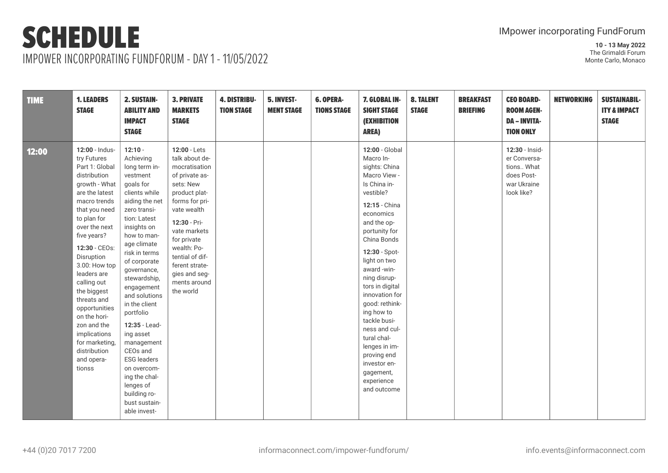IMPOWER INCORPORATING FUNDFORUM - DAY 1 - 11/05/2022

| <b>TIME</b> | <b>1. LEADERS</b><br><b>STAGE</b>                                                                                                                                                                                                                                                                                                                                                                                        | 2. SUSTAIN-<br><b>ABILITY AND</b><br><b>IMPACT</b><br><b>STAGE</b>                                                                                                                                                                                                                                                                                                                                                                                                                        | <b>3. PRIVATE</b><br><b>MARKETS</b><br><b>STAGE</b>                                                                                                                                                                                                                               | <b>4. DISTRIBU-</b><br><b>TION STAGE</b> | 5. INVEST-<br><b>MENT STAGE</b> | <b>6. OPERA-</b><br><b>TIONS STAGE</b> | 7. GLOBAL IN-<br><b>SIGHT STAGE</b><br><b>(EXHIBITION</b><br><b>AREA)</b>                                                                                                                                                                                                                                                                                                                                                                            | <b>8. TALENT</b><br><b>STAGE</b> | <b>BREAKFAST</b><br><b>BRIEFING</b> | <b>CEO BOARD-</b><br><b>ROOM AGEN-</b><br><b>DA - INVITA-</b><br><b>TION ONLY</b>       | <b>NETWORKING</b> | <b>SUSTAINABIL-</b><br><b>ITY &amp; IMPACT</b><br><b>STAGE</b> |
|-------------|--------------------------------------------------------------------------------------------------------------------------------------------------------------------------------------------------------------------------------------------------------------------------------------------------------------------------------------------------------------------------------------------------------------------------|-------------------------------------------------------------------------------------------------------------------------------------------------------------------------------------------------------------------------------------------------------------------------------------------------------------------------------------------------------------------------------------------------------------------------------------------------------------------------------------------|-----------------------------------------------------------------------------------------------------------------------------------------------------------------------------------------------------------------------------------------------------------------------------------|------------------------------------------|---------------------------------|----------------------------------------|------------------------------------------------------------------------------------------------------------------------------------------------------------------------------------------------------------------------------------------------------------------------------------------------------------------------------------------------------------------------------------------------------------------------------------------------------|----------------------------------|-------------------------------------|-----------------------------------------------------------------------------------------|-------------------|----------------------------------------------------------------|
| 12:00       | 12:00 - Indus-<br>try Futures<br>Part 1: Global<br>distribution<br>growth - What<br>are the latest<br>macro trends<br>that you need<br>to plan for<br>over the next<br>five years?<br>12:30 - CEOs:<br>Disruption<br>3.00: How top<br>leaders are<br>calling out<br>the biggest<br>threats and<br>opportunities<br>on the hori-<br>zon and the<br>implications<br>for marketing,<br>distribution<br>and opera-<br>tionss | $12:10 -$<br>Achieving<br>long term in-<br>vestment<br>goals for<br>clients while<br>aiding the net<br>zero transi-<br>tion: Latest<br>insights on<br>how to man-<br>age climate<br>risk in terms<br>of corporate<br>governance,<br>stewardship,<br>engagement<br>and solutions<br>in the client<br>portfolio<br>12:35 - Lead-<br>ing asset<br>management<br>CEOs and<br><b>ESG</b> leaders<br>on overcom-<br>ing the chal-<br>lenges of<br>building ro-<br>bust sustain-<br>able invest- | 12:00 - Lets<br>talk about de-<br>mocratisation<br>of private as-<br>sets: New<br>product plat-<br>forms for pri-<br>vate wealth<br>12:30 - Pri-<br>vate markets<br>for private<br>wealth: Po-<br>tential of dif-<br>ferent strate-<br>gies and seg-<br>ments around<br>the world |                                          |                                 |                                        | 12:00 - Global<br>Macro In-<br>sights: China<br>Macro View -<br>Is China in-<br>vestible?<br>12:15 - China<br>economics<br>and the op-<br>portunity for<br>China Bonds<br>12:30 - Spot-<br>light on two<br>award-win-<br>ning disrup-<br>tors in digital<br>innovation for<br>good: rethink-<br>ing how to<br>tackle busi-<br>ness and cul-<br>tural chal-<br>lenges in im-<br>proving end<br>investor en-<br>gagement,<br>experience<br>and outcome |                                  |                                     | 12:30 - Insid-<br>er Conversa-<br>tions What<br>does Post-<br>war Ukraine<br>look like? |                   |                                                                |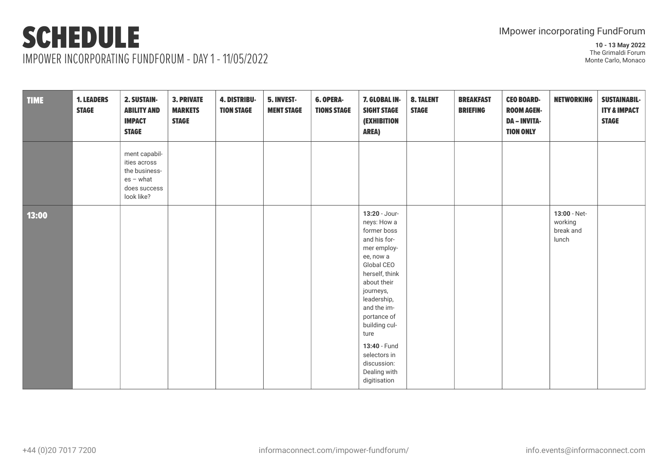IMPOWER INCORPORATING FUNDFORUM - DAY 1 - 11/05/2022

| <b>TIME</b> | <b>1. LEADERS</b><br><b>STAGE</b> | 2. SUSTAIN-<br><b>ABILITY AND</b><br><b>IMPACT</b><br><b>STAGE</b>                          | <b>3. PRIVATE</b><br><b>MARKETS</b><br><b>STAGE</b> | 4. DISTRIBU-<br><b>TION STAGE</b> | 5. INVEST-<br><b>MENT STAGE</b> | <b>6. OPERA-</b><br><b>TIONS STAGE</b> | 7. GLOBAL IN-<br><b>SIGHT STAGE</b><br><b>(EXHIBITION</b><br><b>AREA)</b>                                                                                                                                                                                                                                | <b>8. TALENT</b><br><b>STAGE</b> | <b>BREAKFAST</b><br><b>BRIEFING</b> | <b>CEO BOARD-</b><br><b>ROOM AGEN-</b><br><b>DA - INVITA-</b><br><b>TION ONLY</b> | <b>NETWORKING</b>                             | <b>SUSTAINABIL-</b><br><b>ITY &amp; IMPACT</b><br><b>STAGE</b> |
|-------------|-----------------------------------|---------------------------------------------------------------------------------------------|-----------------------------------------------------|-----------------------------------|---------------------------------|----------------------------------------|----------------------------------------------------------------------------------------------------------------------------------------------------------------------------------------------------------------------------------------------------------------------------------------------------------|----------------------------------|-------------------------------------|-----------------------------------------------------------------------------------|-----------------------------------------------|----------------------------------------------------------------|
|             |                                   | ment capabil-<br>ities across<br>the business-<br>$es - what$<br>does success<br>look like? |                                                     |                                   |                                 |                                        |                                                                                                                                                                                                                                                                                                          |                                  |                                     |                                                                                   |                                               |                                                                |
| 13:00       |                                   |                                                                                             |                                                     |                                   |                                 |                                        | 13:20 - Jour-<br>neys: How a<br>former boss<br>and his for-<br>mer employ-<br>ee, now a<br>Global CEO<br>herself, think<br>about their<br>journeys,<br>leadership,<br>and the im-<br>portance of<br>building cul-<br>ture<br>13:40 - Fund<br>selectors in<br>discussion:<br>Dealing with<br>digitisation |                                  |                                     |                                                                                   | 13:00 - Net-<br>working<br>break and<br>lunch |                                                                |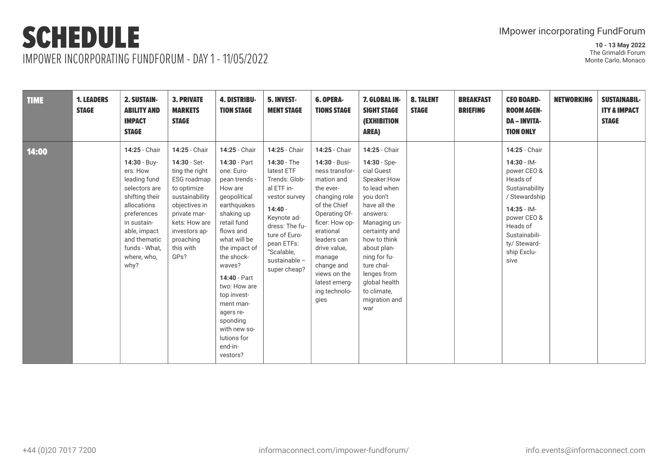IMPOWER INCORPORATING FUNDFORUM - DAY 1 - 11/05/2022

| <b>TIME</b> | <b>1. LEADERS</b><br><b>STAGE</b> | <b>2. SUSTAIN-</b><br><b>ABILITY AND</b><br><b>IMPACT</b><br><b>STAGE</b>                                                                                                                                         | <b>3. PRIVATE</b><br><b>MARKETS</b><br><b>STAGE</b>                                                                                                                                                  | <b>4. DISTRIBU-</b><br><b>TION STAGE</b>                                                                                                                                                                                                                                                                                                             | 5. INVEST-<br><b>MENT STAGE</b>                                                                                                                                                                                        | <b>6. OPERA-</b><br><b>TIONS STAGE</b>                                                                                                                                                                                                                                        | 7. GLOBAL IN-<br><b>SIGHT STAGE</b><br><b>(EXHIBITION</b><br><b>AREA)</b>                                                                                                                                                                                                                | <b>8. TALENT</b><br><b>STAGE</b> | <b>BREAKFAST</b><br><b>BRIEFING</b> | <b>CEO BOARD-</b><br><b>ROOM AGEN-</b><br><b>DA - INVITA-</b><br><b>TION ONLY</b>                                                                                                                  | <b>NETWORKING</b> | <b>SUSTAINABIL-</b><br><b>ITY &amp; IMPACT</b><br><b>STAGE</b> |
|-------------|-----------------------------------|-------------------------------------------------------------------------------------------------------------------------------------------------------------------------------------------------------------------|------------------------------------------------------------------------------------------------------------------------------------------------------------------------------------------------------|------------------------------------------------------------------------------------------------------------------------------------------------------------------------------------------------------------------------------------------------------------------------------------------------------------------------------------------------------|------------------------------------------------------------------------------------------------------------------------------------------------------------------------------------------------------------------------|-------------------------------------------------------------------------------------------------------------------------------------------------------------------------------------------------------------------------------------------------------------------------------|------------------------------------------------------------------------------------------------------------------------------------------------------------------------------------------------------------------------------------------------------------------------------------------|----------------------------------|-------------------------------------|----------------------------------------------------------------------------------------------------------------------------------------------------------------------------------------------------|-------------------|----------------------------------------------------------------|
| 14:00       |                                   | 14:25 - Chair<br>14:30 - Buy-<br>ers: How<br>leading fund<br>selectors are<br>shifting their<br>allocations<br>preferences<br>in sustain-<br>able, impact<br>and thematic<br>funds - What,<br>where, who,<br>why? | 14:25 - Chair<br>14:30 - Set-<br>ting the right<br>ESG roadmap<br>to optimize<br>sustainability<br>objectives in<br>private mar-<br>kets: How are<br>investors ap-<br>proaching<br>this with<br>GPs? | 14:25 - Chair<br>14:30 - Part<br>one: Euro-<br>pean trends -<br>How are<br>geopolitical<br>earthquakes<br>shaking up<br>retail fund<br>flows and<br>what will be<br>the impact of<br>the shock-<br>waves?<br>14:40 - Part<br>two: How are<br>top invest-<br>ment man-<br>agers re-<br>sponding<br>with new so-<br>lutions for<br>end-in-<br>vestors? | 14:25 - Chair<br>14:30 - The<br>latest ETF<br>Trends: Glob-<br>al ETF in-<br>vestor survey<br>$14:40 -$<br>Keynote ad-<br>dress: The fu-<br>ture of Euro-<br>pean ETFs:<br>"Scalable,<br>sustainable -<br>super cheap? | 14:25 - Chair<br>14:30 - Busi-<br>ness transfor-<br>mation and<br>the ever-<br>changing role<br>of the Chief<br>Operating Of-<br>ficer: How op-<br>erational<br>leaders can<br>drive value,<br>manage<br>change and<br>views on the<br>latest emerg-<br>ing technolo-<br>gies | 14:25 - Chair<br>14:30 - Spe-<br>cial Guest<br>Speaker:How<br>to lead when<br>you don't<br>have all the<br>answers:<br>Managing un-<br>certainty and<br>how to think<br>about plan-<br>ning for fu-<br>ture chal-<br>lenges from<br>global health<br>to climate,<br>migration and<br>war |                                  |                                     | 14:25 - Chair<br>$14:30 - 1M -$<br>power CEO &<br>Heads of<br>Sustainability<br>/ Stewardship<br>$14:35 - 1M -$<br>power CEO &<br>Heads of<br>Sustainabili-<br>ty/ Steward-<br>ship Exclu-<br>sive |                   |                                                                |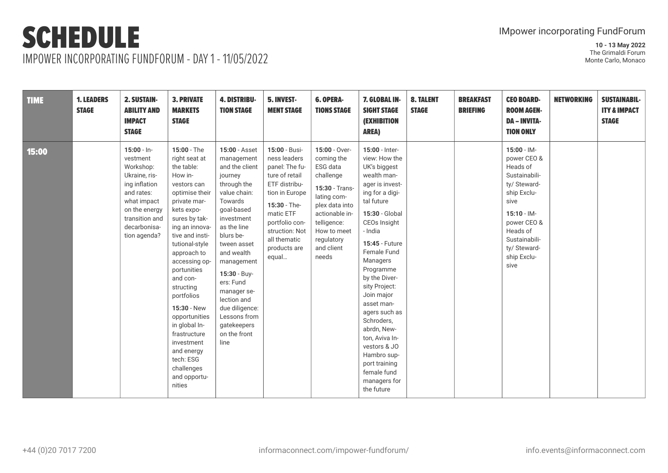IMPOWER INCORPORATING FUNDFORUM - DAY 1 - 11/05/2022

| <b>TIME</b> | <b>1. LEADERS</b><br><b>STAGE</b> | <b>2. SUSTAIN-</b><br><b>ABILITY AND</b><br><b>IMPACT</b><br><b>STAGE</b>                                                                                                 | <b>3. PRIVATE</b><br><b>MARKETS</b><br><b>STAGE</b>                                                                                                                                                                                                                                                                                                                                                                                  | <b>4. DISTRIBU-</b><br><b>TION STAGE</b>                                                                                                                                                                                                                                                                                                  | 5. INVEST-<br><b>MENT STAGE</b>                                                                                                                                                                                | <b>6. OPERA-</b><br><b>TIONS STAGE</b>                                                                                                                                                       | 7. GLOBAL IN-<br><b>SIGHT STAGE</b><br><b>(EXHIBITION</b><br><b>AREA)</b>                                                                                                                                                                                                                                                                                                                                                                                   | <b>8. TALENT</b><br><b>STAGE</b> | <b>BREAKFAST</b><br><b>BRIEFING</b> | <b>CEO BOARD-</b><br><b>ROOM AGEN-</b><br><b>DA - INVITA-</b><br><b>TION ONLY</b>                                                                                                                      | <b>NETWORKING</b> | <b>SUSTAINABIL-</b><br><b>ITY &amp; IMPACT</b><br><b>STAGE</b> |
|-------------|-----------------------------------|---------------------------------------------------------------------------------------------------------------------------------------------------------------------------|--------------------------------------------------------------------------------------------------------------------------------------------------------------------------------------------------------------------------------------------------------------------------------------------------------------------------------------------------------------------------------------------------------------------------------------|-------------------------------------------------------------------------------------------------------------------------------------------------------------------------------------------------------------------------------------------------------------------------------------------------------------------------------------------|----------------------------------------------------------------------------------------------------------------------------------------------------------------------------------------------------------------|----------------------------------------------------------------------------------------------------------------------------------------------------------------------------------------------|-------------------------------------------------------------------------------------------------------------------------------------------------------------------------------------------------------------------------------------------------------------------------------------------------------------------------------------------------------------------------------------------------------------------------------------------------------------|----------------------------------|-------------------------------------|--------------------------------------------------------------------------------------------------------------------------------------------------------------------------------------------------------|-------------------|----------------------------------------------------------------|
| 15:00       |                                   | $15:00 - ln -$<br>vestment<br>Workshop:<br>Ukraine, ris-<br>ing inflation<br>and rates:<br>what impact<br>on the energy<br>transition and<br>decarbonisa-<br>tion agenda? | 15:00 - The<br>right seat at<br>the table:<br>How in-<br>vestors can<br>optimise their<br>private mar-<br>kets expo-<br>sures by tak-<br>ing an innova-<br>tive and insti-<br>tutional-style<br>approach to<br>accessing op-<br>portunities<br>and con-<br>structing<br>portfolios<br>15:30 - New<br>opportunities<br>in global In-<br>frastructure<br>investment<br>and energy<br>tech: ESG<br>challenges<br>and opportu-<br>nities | 15:00 - Asset<br>management<br>and the client<br>journey<br>through the<br>value chain:<br>Towards<br>goal-based<br>investment<br>as the line<br>blurs be-<br>tween asset<br>and wealth<br>management<br>15:30 - Buy-<br>ers: Fund<br>manager se-<br>lection and<br>due diligence:<br>Lessons from<br>gatekeepers<br>on the front<br>line | 15:00 - Busi-<br>ness leaders<br>panel: The fu-<br>ture of retail<br>ETF distribu-<br>tion in Europe<br>15:30 - The-<br>matic ETF<br>portfolio con-<br>struction: Not<br>all thematic<br>products are<br>equal | 15:00 - Over-<br>coming the<br>ESG data<br>challenge<br>15:30 - Trans-<br>lating com-<br>plex data into<br>actionable in-<br>telligence:<br>How to meet<br>regulatory<br>and client<br>needs | 15:00 - Inter-<br>view: How the<br>UK's biggest<br>wealth man-<br>ager is invest-<br>ing for a digi-<br>tal future<br>15:30 - Global<br>CEOs Insight<br>- India<br><b>15:45 - Future</b><br>Female Fund<br>Managers<br>Programme<br>by the Diver-<br>sity Project:<br>Join major<br>asset man-<br>agers such as<br>Schroders,<br>abrdn. New-<br>ton, Aviva In-<br>vestors & JO<br>Hambro sup-<br>port training<br>female fund<br>managers for<br>the future |                                  |                                     | $15:00 - 1M -$<br>power CEO &<br>Heads of<br>Sustainabili-<br>ty/ Steward-<br>ship Exclu-<br>sive<br>$15:10 - 1M -$<br>power CEO &<br>Heads of<br>Sustainabili-<br>ty/ Steward-<br>ship Exclu-<br>sive |                   |                                                                |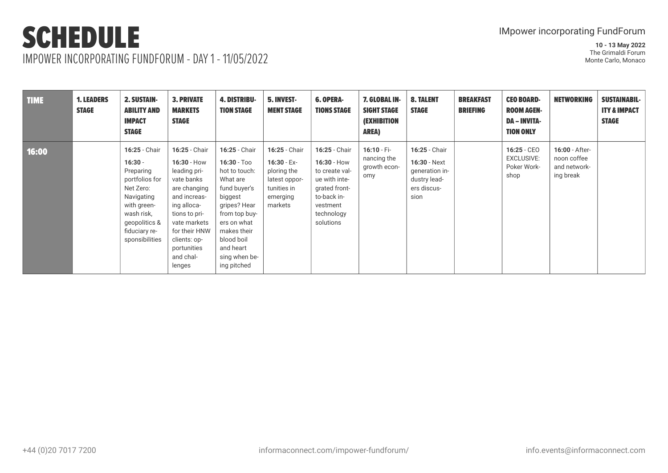IMPOWER INCORPORATING FUNDFORUM - DAY 1 - 11/05/2022

| TIME  | <b>1. LEADERS</b><br><b>STAGE</b> | <b>2. SUSTAIN-</b><br><b>ABILITY AND</b><br><b>IMPACT</b><br><b>STAGE</b>                                                                                             | <b>3. PRIVATE</b><br><b>MARKETS</b><br><b>STAGE</b>                                                                                                                                                                 | <b>4. DISTRIBU-</b><br><b>TION STAGE</b>                                                                                                                                                                         | <b>5. INVEST-</b><br><b>MENT STAGE</b>                                                               | <b>6. OPERA-</b><br><b>TIONS STAGE</b>                                                                                                   | 7. GLOBAL IN-<br><b>SIGHT STAGE</b><br><b>(EXHIBITION</b><br><b>AREA)</b> | <b>8. TALENT</b><br><b>STAGE</b>                                                       | <b>BREAKFAST</b><br><b>BRIEFING</b> | <b>CEO BOARD-</b><br><b>ROOM AGEN-</b><br><b>DA - INVITA-</b><br><b>TION ONLY</b> | <b>NETWORKING</b>                                          | <b>SUSTAINABIL-</b><br><b>ITY &amp; IMPACT</b><br><b>STAGE</b> |
|-------|-----------------------------------|-----------------------------------------------------------------------------------------------------------------------------------------------------------------------|---------------------------------------------------------------------------------------------------------------------------------------------------------------------------------------------------------------------|------------------------------------------------------------------------------------------------------------------------------------------------------------------------------------------------------------------|------------------------------------------------------------------------------------------------------|------------------------------------------------------------------------------------------------------------------------------------------|---------------------------------------------------------------------------|----------------------------------------------------------------------------------------|-------------------------------------|-----------------------------------------------------------------------------------|------------------------------------------------------------|----------------------------------------------------------------|
| 16:00 |                                   | 16:25 - Chair<br>$16:30 -$<br>Preparing<br>portfolios for<br>Net Zero:<br>Navigating<br>with green-<br>wash risk,<br>geopolitics &<br>fiduciary re-<br>sponsibilities | 16:25 - Chair<br>$16:30 - How$<br>leading pri-<br>vate banks<br>are changing<br>and increas-<br>ing alloca-<br>tions to pri-<br>vate markets<br>for their HNW<br>clients: op-<br>portunities<br>and chal-<br>lenges | 16:25 - Chair<br>$16:30 - Too$<br>hot to touch:<br>What are<br>fund buyer's<br>biggest<br>gripes? Hear<br>from top buy-<br>ers on what<br>makes their<br>blood boil<br>and heart<br>sing when be-<br>ing pitched | 16:25 - Chair<br>$16:30 - Ex-$<br>ploring the<br>latest oppor-<br>tunities in<br>emerging<br>markets | 16:25 - Chair<br>$16:30 - How$<br>to create val-<br>ue with inte-<br>grated front-<br>to-back in-<br>vestment<br>technology<br>solutions | $16:10 - Fi -$<br>nancing the<br>growth econ-<br>omy                      | 16:25 - Chair<br>16:30 - Next<br>generation in-<br>dustry lead-<br>ers discus-<br>sion |                                     | $16:25 - CEO$<br><b>EXCLUSIVE:</b><br>Poker Work-<br>shop                         | 16:00 - After-<br>noon coffee<br>and network-<br>ing break |                                                                |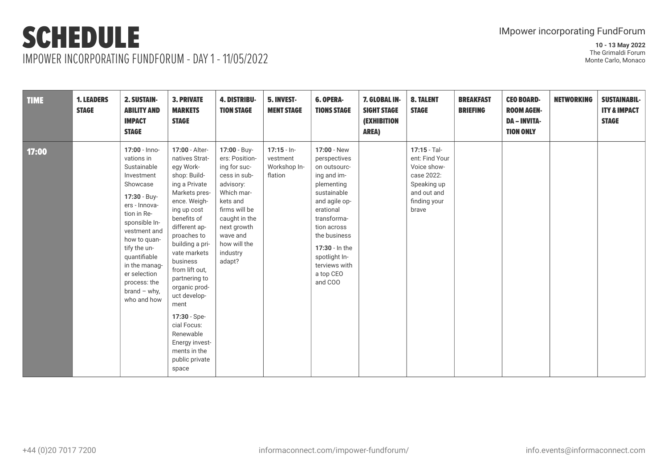IMPOWER INCORPORATING FUNDFORUM - DAY 1 - 11/05/2022

| <b>TIME</b> | <b>1. LEADERS</b><br><b>STAGE</b> | 2. SUSTAIN-<br><b>ABILITY AND</b><br><b>IMPACT</b><br><b>STAGE</b>                                                                                                                                                                                                                      | <b>3. PRIVATE</b><br><b>MARKETS</b><br><b>STAGE</b>                                                                                                                                                                                                                                                                                                                                                               | <b>4. DISTRIBU-</b><br><b>TION STAGE</b>                                                                                                                                                                 | 5. INVEST-<br><b>MENT STAGE</b>                      | <b>6. OPERA-</b><br><b>TIONS STAGE</b>                                                                                                                                                                                                          | 7. GLOBAL IN-<br><b>SIGHT STAGE</b><br><b>(EXHIBITION</b><br><b>AREA)</b> | <b>8. TALENT</b><br><b>STAGE</b>                                                                                   | <b>BREAKFAST</b><br><b>BRIEFING</b> | <b>CEO BOARD-</b><br><b>ROOM AGEN-</b><br><b>DA - INVITA-</b><br><b>TION ONLY</b> | <b>NETWORKING</b> | <b>SUSTAINABIL-</b><br><b>ITY &amp; IMPACT</b><br><b>STAGE</b> |
|-------------|-----------------------------------|-----------------------------------------------------------------------------------------------------------------------------------------------------------------------------------------------------------------------------------------------------------------------------------------|-------------------------------------------------------------------------------------------------------------------------------------------------------------------------------------------------------------------------------------------------------------------------------------------------------------------------------------------------------------------------------------------------------------------|----------------------------------------------------------------------------------------------------------------------------------------------------------------------------------------------------------|------------------------------------------------------|-------------------------------------------------------------------------------------------------------------------------------------------------------------------------------------------------------------------------------------------------|---------------------------------------------------------------------------|--------------------------------------------------------------------------------------------------------------------|-------------------------------------|-----------------------------------------------------------------------------------|-------------------|----------------------------------------------------------------|
| 17:00       |                                   | 17:00 - Inno-<br>vations in<br>Sustainable<br>Investment<br>Showcase<br>17:30 - Buy-<br>ers - Innova-<br>tion in Re-<br>sponsible In-<br>vestment and<br>how to quan-<br>tify the un-<br>quantifiable<br>in the manag-<br>er selection<br>process: the<br>$brand - why,$<br>who and how | 17:00 - Alter-<br>natives Strat-<br>egy Work-<br>shop: Build-<br>ing a Private<br>Markets pres-<br>ence. Weigh-<br>ing up cost<br>benefits of<br>different ap-<br>proaches to<br>building a pri-<br>vate markets<br>business<br>from lift out,<br>partnering to<br>organic prod-<br>uct develop-<br>ment<br>17:30 - Spe-<br>cial Focus:<br>Renewable<br>Energy invest-<br>ments in the<br>public private<br>space | 17:00 - Buy-<br>ers: Position-<br>ing for suc-<br>cess in sub-<br>advisory:<br>Which mar-<br>kets and<br>firms will be<br>caught in the<br>next growth<br>wave and<br>how will the<br>industry<br>adapt? | $17:15 - In-$<br>vestment<br>Workshop In-<br>flation | 17:00 - New<br>perspectives<br>on outsourc-<br>ing and im-<br>plementing<br>sustainable<br>and agile op-<br>erational<br>transforma-<br>tion across<br>the business<br>17:30 - In the<br>spotlight In-<br>terviews with<br>a top CEO<br>and COO |                                                                           | 17:15 - Tal-<br>ent: Find Your<br>Voice show-<br>case 2022:<br>Speaking up<br>and out and<br>finding your<br>brave |                                     |                                                                                   |                   |                                                                |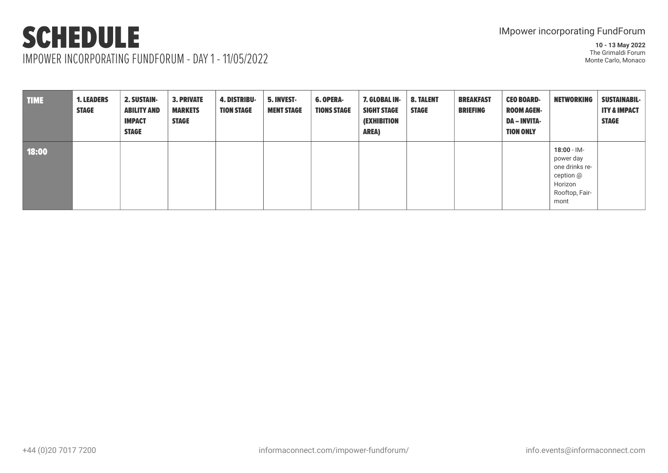### SCHEDULE IMPOWER INCORPORATING FUNDFORUM - DAY 1 - 11/05/2022

| <b>TIME</b> | <b>1. LEADERS</b><br><b>STAGE</b> | <b>2. SUSTAIN-</b><br><b>ABILITY AND</b><br><b>IMPACT</b><br><b>STAGE</b> | <b>3. PRIVATE</b><br><b>MARKETS</b><br><b>STAGE</b> | <b>4. DISTRIBU-</b><br><b>TION STAGE</b> | <b>5. INVEST-</b><br><b>MENT STAGE</b> | <b>6. OPERA-</b><br><b>TIONS STAGE</b> | 7. GLOBAL IN-<br><b>SIGHT STAGE</b><br><b>(EXHIBITION</b><br><b>AREA)</b> | <b>8. TALENT</b><br><b>STAGE</b> | <b>BREAKFAST</b><br><b>BRIEFING</b> | <b>CEO BOARD-</b><br><b>ROOM AGEN-</b><br><b>DA – INVITA-</b><br><b>TION ONLY</b> | <b>NETWORKING</b>                                                                               | <b>SUSTAINABIL-</b><br><b>ITY &amp; IMPACT</b><br><b>STAGE</b> |
|-------------|-----------------------------------|---------------------------------------------------------------------------|-----------------------------------------------------|------------------------------------------|----------------------------------------|----------------------------------------|---------------------------------------------------------------------------|----------------------------------|-------------------------------------|-----------------------------------------------------------------------------------|-------------------------------------------------------------------------------------------------|----------------------------------------------------------------|
| 18:00       |                                   |                                                                           |                                                     |                                          |                                        |                                        |                                                                           |                                  |                                     |                                                                                   | $18:00 - 1M -$<br>power day<br>one drinks re-<br>ception @<br>Horizon<br>Rooftop, Fair-<br>mont |                                                                |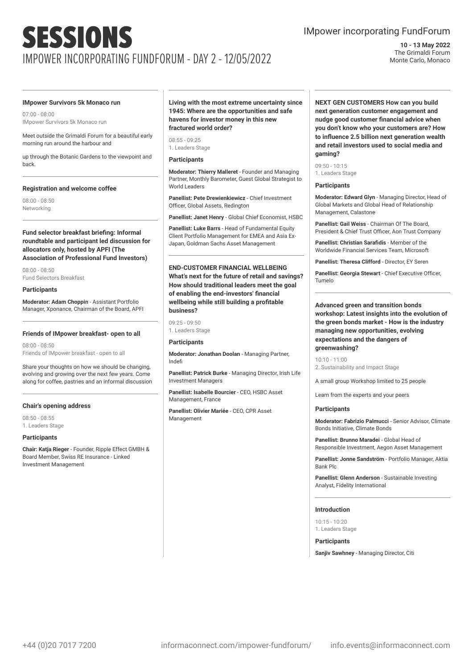### IMpower incorporating FundForum

**10 - 13 May 2022** The Grimaldi Forum Monte Carlo, Monaco

#### **IMpower Survivors 5k Monaco run**

07:00 - 08:00 IMpower Survivors 5k Monaco run

Meet outside the Grimaldi Forum for a beautiful early morning run around the harbour and

up through the Botanic Gardens to the viewpoint and back.

#### **Registration and welcome coffee**

08:00 - 08:50 Networking

**Fund selector breakfast briefing: Informal roundtable and participant led discussion for allocators only, hosted by APFI (The Association of Professional Fund Investors)**

08:00 - 08:50 Fund Selectors Breakfast

#### **Participants**

**Moderator: Adam Choppin** - Assistant Portfolio Manager, Xponance, Chairman of the Board, APFI

#### **Friends of IMpower breakfast- open to all**

08:00 - 08:50 Friends of IMpower breakfast - open to all

Share your thoughts on how we should be changing, evolving and growing over the next few years. Come along for coffee, pastries and an informal discussion

#### **Chair's opening address**

08:50 - 08:55 1. Leaders Stage

#### **Participants**

**Chair: Katja Rieger** - Founder, Ripple Effect GMBH & Board Member, Swiss RE Insurance - Linked Investment Management

**Living with the most extreme uncertainty since 1945: Where are the opportunities and safe havens for investor money in this new fractured world order?**

08:55 - 09:25 1. Leaders Stage

#### **Participants**

**Moderator: Thierry Malleret** - Founder and Managing Partner, Monthly Barometer, Guest Global Strategist to World Leaders

**Panellist: Pete Drewienkiewicz** - Chief Investment Officer, Global Assets, Redington

**Panellist: Janet Henry** - Global Chief Economist, HSBC

**Panellist: Luke Barrs** - Head of Fundamental Equity Client Portfolio Management for EMEA and Asia Ex-Japan, Goldman Sachs Asset Management

**END-CUSTOMER FINANCIAL WELLBEING What's next for the future of retail and savings? How should traditional leaders meet the goal of enabling the end-investors' financial wellbeing while still building a profitable business?**

09:25 - 09:50 1. Leaders Stage

#### **Participants**

**Moderator: Jonathan Doolan** - Managing Partner, Indefi

**Panellist: Patrick Burke** - Managing Director, Irish Life Investment Managers

**Panellist: Isabelle Bourcier** - CEO, HSBC Asset Management, France

**Panellist: Olivier Mariée** - CEO, CPR Asset Management

**NEXT GEN CUSTOMERS How can you build next generation customer engagement and nudge good customer financial advice when you don't know who your customers are? How to influence 2.5 billion next generation wealth and retail investors used to social media and gaming?**

09:50 - 10:15 1. Leaders Stage

#### **Participants**

**Moderator: Edward Glyn** - Managing Director, Head of Global Markets and Global Head of Relationship Management, Calastone

**Panellist: Gail Weiss** - Chairman Of The Board, President & Chief Trust Officer, Aon Trust Company

**Panellist: Christian Sarafidis** - Member of the Worldwide Financial Services Team, Microsoft

**Panellist: Theresa Clifford - Director, EY Seren** 

**Panellist: Georgia Stewart** - Chief Executive Officer, Tumelo

#### **Advanced green and transition bonds workshop: Latest insights into the evolution of the green bonds market - How is the industry managing new opportunities, evolving expectations and the dangers of greenwashing?**

 $10:10 - 11:00$ 2. Sustainability and Impact Stage

A small group Workshop limited to 25 people

Learn from the experts and your peers

#### **Participants**

**Moderator: Fabrizio Palmucci** - Senior Advisor, Climate Bonds Initiative, Climate Bonds

**Panellist: Brunno Maradei** - Global Head of Responsible Investment, Aegon Asset Management

**Panellist: Jonne Sandström** - Portfolio Manager, Aktia Bank Plc

**Panellist: Glenn Anderson** - Sustainable Investing Analyst, Fidelity International

#### **Introduction**

10:15 - 10:20 1. Leaders Stage

**Participants**

**Sanjiv Sawhney** - Managing Director, Citi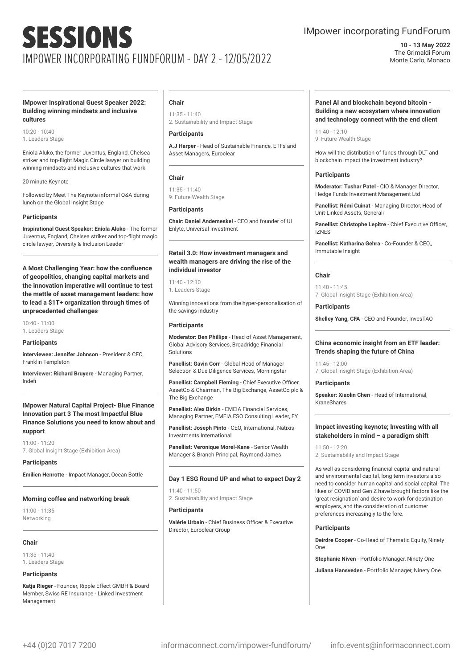### IMpower incorporating FundForum

**10 - 13 May 2022** The Grimaldi Forum Monte Carlo, Monaco

#### **IMpower Inspirational Guest Speaker 2022: Building winning mindsets and inclusive cultures**

10:20 - 10:40 1. Leaders Stage

Eniola Aluko, the former Juventus, England, Chelsea striker and top-flight Magic Circle lawyer on building winning mindsets and inclusive cultures that work

20 minute Keynote

Followed by Meet The Keynote informal Q&A during lunch on the Global Insight Stage

#### **Participants**

**Inspirational Guest Speaker: Eniola Aluko** - The former Juventus, England, Chelsea striker and top-flight magic circle lawyer, Diversity & Inclusion Leader

**A Most Challenging Year: how the confluence of geopolitics, changing capital markets and the innovation imperative will continue to test the mettle of asset management leaders: how to lead a \$1T+ organization through times of unprecedented challenges**

10:40 - 11:00 1. Leaders Stage

#### **Participants**

**interviewee: Jennifer Johnson** - President & CEO, Franklin Templeton

**Interviewer: Richard Bruyere** - Managing Partner, Indefi

#### **IMpower Natural Capital Project- Blue Finance Innovation part 3 The most Impactful Blue Finance Solutions you need to know about and support**

11:00 - 11:20 7. Global Insight Stage (Exhibition Area)

**Participants**

**Emilien Henrotte** - Impact Manager, Ocean Bottle

#### **Morning coffee and networking break**

11:00 - 11:35 Networking

#### **Chair**

11:35 - 11:40 1. Leaders Stage

#### **Participants**

**Katja Rieger** - Founder, Ripple Effect GMBH & Board Member, Swiss RE Insurance - Linked Investment Management

#### **Chair**

11:35 - 11:40 2. Sustainability and Impact Stage

#### **Participants**

**A.J Harper** - Head of Sustainable Finance, ETFs and Asset Managers, Euroclear

#### **Chair**

 $11:35 - 11:40$ 9. Future Wealth Stage

#### **Participants**

**Chair: Daniel Andemeskel** - CEO and founder of UI Enlyte, Universal Investment

#### **Retail 3.0: How investment managers and wealth managers are driving the rise of the individual investor**

11:40 - 12:10 1. Leaders Stage

Winning innovations from the hyper-personalisation of the savings industry

#### **Participants**

**Moderator: Ben Phillips** - Head of Asset Management, Global Advisory Services, Broadridge Financial Solutions

**Panellist: Gavin Corr** - Global Head of Manager Selection & Due Diligence Services, Morningstar

**Panellist: Campbell Fleming** - Chief Executive Officer, AssetCo & Chairman, The Big Exchange, AssetCo plc & The Big Exchange

**Panellist: Alex Birkin** - EMEIA Financial Services, Managing Partner, EMEIA FSO Consulting Leader, EY

**Panellist: Joseph Pinto** - CEO, International, Natixis Investments International

**Panellist: Veronique Morel-Kane** - Senior Wealth Manager & Branch Principal, Raymond James

#### **Day 1 ESG Round UP and what to expect Day 2**

11:40 - 11:50 2. Sustainability and Impact Stage

#### **Participants**

**Valérie Urbain** - Chief Business Officer & Executive Director, Euroclear Group

#### **Panel AI and blockchain beyond bitcoin - Building a new ecosystem where innovation and technology connect with the end client**

11:40 - 12:10 9. Future Wealth Stage

How will the distribution of funds through DLT and blockchain impact the investment industry?

#### **Participants**

**Moderator: Tushar Patel** - CIO & Manager Director, Hedge Funds Investment Management Ltd

**Panellist: Rémi Cuinat** - Managing Director, Head of Unit-Linked Assets, Generali

**Panellist: Christophe Lepitre** - Chief Executive Officer, IZNES

**Panellist: Katharina Gehra** - Co-Founder & CEO,, Immutable Insight

#### **Chair**

11:40 - 11:45 7. Global Insight Stage (Exhibition Area)

**Participants Shelley Yang, CFA** - CEO and Founder, InvesTAO

#### **China economic insight from an ETF leader: Trends shaping the future of China**

11:45 - 12:00 7. Global Insight Stage (Exhibition Area)

#### **Participants**

**Speaker: Xiaolin Chen** - Head of International, KraneShares

#### **Impact investing keynote; Investing with all stakeholders in mind – a paradigm shift**

11:50 - 12:20 2. Sustainability and Impact Stage

As well as considering financial capital and natural and environmental capital, long term investors also need to consider human capital and social capital. The likes of COVID and Gen Z have brought factors like the 'great resignation' and desire to work for destination employers, and the consideration of customer preferences increasingly to the fore.

#### **Participants**

**Deirdre Cooper** - Co-Head of Thematic Equity, Ninety One

**Stephanie Niven** - Portfolio Manager, Ninety One

**Juliana Hansveden** - Portfolio Manager, Ninety One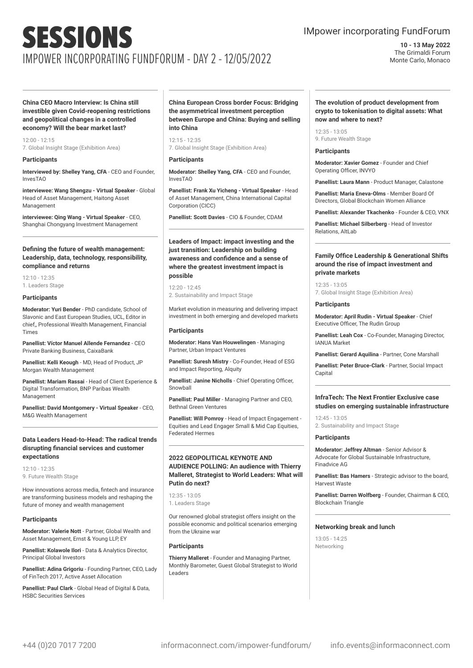### IMpower incorporating FundForum

**10 - 13 May 2022** The Grimaldi Forum Monte Carlo, Monaco

**China CEO Macro Interview: Is China still investible given Covid-reopening restrictions and geopolitical changes in a controlled economy? Will the bear market last?**

12:00 - 12:15 7. Global Insight Stage (Exhibition Area)

#### **Participants**

**Interviewed by: Shelley Yang, CFA** - CEO and Founder, InvesTAO

**interviewee: Wang Shengzu - Virtual Speaker** - Global Head of Asset Management, Haitong Asset Management

**interviewee: Qing Wang - Virtual Speaker** - CEO, Shanghai Chongyang Investment Management

#### **Defining the future of wealth management: Leadership, data, technology, responsibility, compliance and returns**

12:10 - 12:35 1. Leaders Stage

#### **Participants**

**Moderator: Yuri Bender** - PhD candidate, School of Slavonic and East European Studies, UCL, Editor in chief,, Professional Wealth Management, Financial Times

**Panellist: Víctor Manuel Allende Fernandez** - CEO Private Banking Business, CaixaBank

**Panellist: Kelli Keough** - MD, Head of Product, JP Morgan Wealth Management

**Panellist: Mariam Rassai** - Head of Client Experience & Digital Transformation, BNP Paribas Wealth Management

**Panellist: David Montgomery - Virtual Speaker** - CEO, M&G Wealth Management

#### **Data Leaders Head-to-Head: The radical trends disrupting financial services and customer expectations**

12:10 - 12:35 9. Future Wealth Stage

How innovations across media, fintech and insurance are transforming business models and reshaping the future of money and wealth management

#### **Participants**

**Moderator: Valerie Nott** - Partner, Global Wealth and Asset Management, Ernst & Young LLP, EY

**Panellist: Kolawole Ilori** - Data & Analytics Director, Principal Global Investors

**Panellist: Adina Grigoriu** - Founding Partner, CEO, Lady of FinTech 2017, Active Asset Allocation

**Panellist: Paul Clark** - Global Head of Digital & Data, HSBC Securities Services

**China European Cross border Focus: Bridging the asymmetrical investment perception between Europe and China: Buying and selling into China**

12:15 - 12:35 7. Global Insight Stage (Exhibition Area)

#### **Participants**

**Moderator: Shelley Yang, CFA** - CEO and Founder, InvesTAO

**Panellist: Frank Xu Yicheng - Virtual Speaker** - Head of Asset Management, China International Capital Corporation (CICC)

**Panellist: Scott Davies** - CIO & Founder, CDAM

**Leaders of Impact: impact investing and the just transition: Leadership on building awareness and confidence and a sense of where the greatest investment impact is possible**

12:20 - 12:45 2. Sustainability and Impact Stage

Market evolution in measuring and delivering impact investment in both emerging and developed markets

#### **Participants**

**Moderator: Hans Van Houwelingen** - Managing Partner, Urban Impact Ventures

**Panellist: Suresh Mistry** - Co-Founder, Head of ESG and Impact Reporting, Alquity

**Panellist: Janine Nicholls** - Chief Operating Officer, Snowball

**Panellist: Paul Miller** - Managing Partner and CEO, Bethnal Green Ventures

**Panellist: Will Pomroy** - Head of Impact Engagement - Equities and Lead Engager Small & Mid Cap Equities, Federated Hermes

#### **2022 GEOPOLITICAL KEYNOTE AND AUDIENCE POLLING: An audience with Thierry Malleret, Strategist to World Leaders: What will Putin do next?**

 $12.35 - 13.05$ 1. Leaders Stage

Our renowned global strategist offers insight on the possible economic and political scenarios emerging from the Ukraine war

#### **Participants**

**Thierry Malleret** - Founder and Managing Partner, Monthly Barometer, Guest Global Strategist to World Leaders

#### **The evolution of product development from crypto to tokenisation to digital assets: What now and where to next?**

12:35 - 13:05 9. Future Wealth Stage

#### **Participants**

**Moderator: Xavier Gomez** - Founder and Chief Operating Officer, INVYO

**Panellist: Laura Mann** - Product Manager, Calastone

**Panellist: Maria Eneva-Olms** - Member Board Of Directors, Global Blockchain Women Alliance

**Panellist: Alexander Tkachenko** - Founder & CEO, VNX

**Panellist: Michael Silberberg** - Head of Investor Relations, AltLab

#### **Family Office Leadership & Generational Shifts around the rise of impact investment and private markets**

 $12.35 - 13.05$ 7. Global Insight Stage (Exhibition Area)

#### **Participants**

**Moderator: April Rudin - Virtual Speaker** - Chief Executive Officer, The Rudin Group

**Panellist: Leah Cox** - Co-Founder, Managing Director, IANUA Market

**Panellist: Gerard Aquilina** - Partner, Cone Marshall

**Panellist: Peter Bruce-Clark** - Partner, Social Impact Capital

#### **InfraTech: The Next Frontier Exclusive case studies on emerging sustainable infrastructure**

12:45 - 13:05 2. Sustainability and Impact Stage

#### **Participants**

**Moderator: Jeffrey Altman** - Senior Advisor & Advocate for Global Sustainable Infrastructure, Finadvice AG

**Panellist: Bas Hamers** - Strategic advisor to the board, Harvest Waste

**Panellist: Darren Wolfberg** - Founder, Chairman & CEO, Blockchain Triangle

#### **Networking break and lunch**

 $13:05 - 14:25$ Networking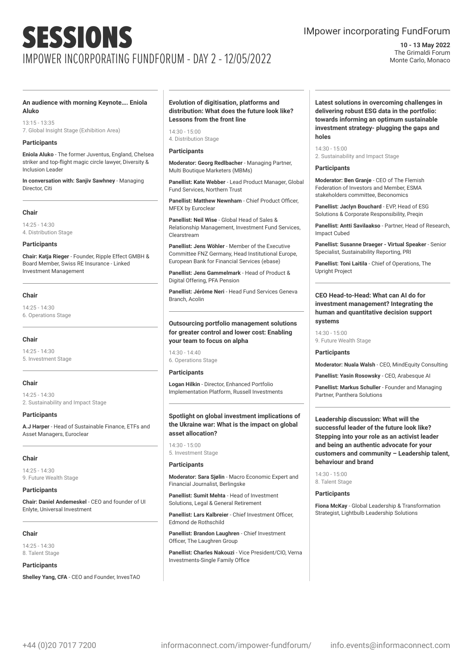### IMpower incorporating FundForum

**10 - 13 May 2022** The Grimaldi Forum Monte Carlo, Monaco

#### **An audience with morning Keynote…. Eniola Aluko**

13:15 - 13:35 7. Global Insight Stage (Exhibition Area)

#### **Participants**

**Eniola Aluko** - The former Juventus, England, Chelsea striker and top-flight magic circle lawyer, Diversity & Inclusion Leader

**In conversation with: Sanjiv Sawhney** - Managing Director, Citi.

#### **Chair**

 $14.25 - 14.30$ 4. Distribution Stage

#### **Participants**

**Chair: Katja Rieger** - Founder, Ripple Effect GMBH & Board Member, Swiss RE Insurance - Linked Investment Management

#### **Chair**

14:25 - 14:30 6. Operations Stage

#### **Chair**

14:25 - 14:30 5. Investment Stage

#### **Chair**

14:25 - 14:30 2. Sustainability and Impact Stage

#### **Participants**

**A.J Harper** - Head of Sustainable Finance, ETFs and Asset Managers, Euroclear

#### **Chair**

 $14.25 - 14.30$ 9. Future Wealth Stage

#### **Participants**

**Chair: Daniel Andemeskel** - CEO and founder of UI Enlyte, Universal Investment

#### **Chair**

14:25 - 14:30 8. Talent Stage

#### **Participants**

**Shelley Yang, CFA** - CEO and Founder, InvesTAO

#### **Evolution of digitisation, platforms and distribution: What does the future look like? Lessons from the front line**

14:30 - 15:00 4. Distribution Stage

#### **Participants**

**Moderator: Georg Redlbacher** - Managing Partner, Multi Boutique Marketers (MBMs)

**Panellist: Kate Webber** - Lead Product Manager, Global Fund Services, Northern Trust

**Panellist: Matthew Newnham** - Chief Product Officer, MFEX by Euroclear

**Panellist: Neil Wise** - Global Head of Sales & Relationship Management, Investment Fund Services, Clearstream

**Panellist: Jens Wöhler** - Member of the Executive Committee FNZ Germany, Head Institutional Europe, European Bank for Financial Services (ebase)

**Panellist: Jens Gammelmark** - Head of Product & Digital Offering, PFA Pension

**Panellist: Jérôme Neri** - Head Fund Services Geneva Branch, Acolin

#### **Outsourcing portfolio management solutions for greater control and lower cost: Enabling your team to focus on alpha**

14:30 - 14:40 6. Operations Stage

#### **Participants**

**Logan Hilkin** - Director, Enhanced Portfolio Implementation Platform, Russell Investments

#### **Spotlight on global investment implications of the Ukraine war: What is the impact on global asset allocation?**

14:30 - 15:00 5. Investment Stage

#### **Participants**

**Moderator: Sara Sjølin** - Macro Economic Expert and Financial Journalist, Berlingske

**Panellist: Sumit Mehta** - Head of Investment Solutions, Legal & General Retirement

**Panellist: Lars Kalbreier** - Chief Investment Officer, Edmond de Rothschild

**Panellist: Brandon Laughren** - Chief Investment Officer, The Laughren Group

**Panellist: Charles Nakouzi** - Vice President/CIO, Verna Investments-Single Family Office

#### **Latest solutions in overcoming challenges in delivering robust ESG data in the portfolio: towards informing an optimum sustainable investment strategy- plugging the gaps and holes**

 $14.20 - 15:00$ 2. Sustainability and Impact Stage

#### **Participants**

**Moderator: Ben Granje** - CEO of The Flemish Federation of Investors and Member, ESMA stakeholders committee, Beconomics

**Panellist: Jaclyn Bouchard** - EVP, Head of ESG Solutions & Corporate Responsibility, Preqin

**Panellist: Antti Savilaakso** - Partner, Head of Research, Impact Cubed

**Panellist: Susanne Draeger - Virtual Speaker** - Senior Specialist, Sustainability Reporting, PRI

**Panellist: Toni Laitila** - Chief of Operations, The Upright Project

#### **CEO Head-to-Head: What can AI do for investment management? Integrating the human and quantitative decision support systems**

 $14:30 - 15:00$ 9. Future Wealth Stage

#### **Participants**

**Moderator: Nuala Walsh** - CEO, MindEquity Consulting

**Panellist: Yasin Rosowsky** - CEO, Arabesque AI

**Panellist: Markus Schuller** - Founder and Managing Partner, Panthera Solutions

**Leadership discussion: What will the successful leader of the future look like? Stepping into your role as an activist leader and being an authentic advocate for your customers and community – Leadership talent, behaviour and brand**

14:30 - 15:00 8. Talent Stage

#### **Participants**

**Fiona McKay** - Global Leadership & Transformation Strategist, Lightbulb Leadership Solutions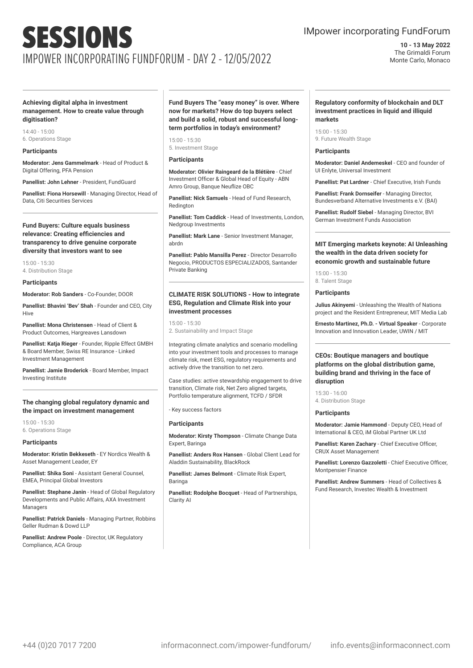### IMpower incorporating FundForum

**10 - 13 May 2022** The Grimaldi Forum Monte Carlo, Monaco

#### **Achieving digital alpha in investment management. How to create value through digitisation?**

14:40 - 15:00 6. Operations Stage

#### **Participants**

**Moderator: Jens Gammelmark** - Head of Product & Digital Offering, PFA Pension

**Panellist: John Lehner** - President, FundGuard

**Panellist: Fiona Horsewill** - Managing Director, Head of Data, Citi Securities Services

#### **Fund Buyers: Culture equals business relevance: Creating efficiencies and transparency to drive genuine corporate diversity that investors want to see**

15:00 - 15:30 4. Distribution Stage

#### **Participants**

**Moderator: Rob Sanders** - Co-Founder, DOOR

**Panellist: Bhavini 'Bev' Shah** - Founder and CEO, City **Hive** 

**Panellist: Mona Christensen** - Head of Client & Product Outcomes, Hargreaves Lansdown

**Panellist: Katja Rieger** - Founder, Ripple Effect GMBH & Board Member, Swiss RE Insurance - Linked Investment Management

**Panellist: Jamie Broderick** - Board Member, Impact Investing Institute

#### **The changing global regulatory dynamic and the impact on investment management**

15:00 - 15:30 6. Operations Stage

#### **Participants**

**Moderator: Kristin Bekkeseth** - EY Nordics Wealth & Asset Management Leader, EY

**Panellist: Shika Soni** - Assistant General Counsel, EMEA, Principal Global Investors

**Panellist: Stephane Janin** - Head of Global Regulatory Developments and Public Affairs, AXA Investment Managers

**Panellist: Patrick Daniels** - Managing Partner, Robbins Geller Rudman & Dowd LLP

**Panellist: Andrew Poole** - Director, UK Regulatory Compliance, ACA Group

**Fund Buyers The "easy money" is over. Where now for markets? How do top buyers select and build a solid, robust and successful longterm portfolios in today's environment?**

15:00 - 15:30 5. Investment Stage

#### **Participants**

**Moderator: Olivier Raingeard de la Blétière** - Chief Investment Officer & Global Head of Equity - ABN Amro Group, Banque Neuflize OBC

**Panellist: Nick Samuels** - Head of Fund Research, Redington

**Panellist: Tom Caddick - Head of Investments, London** Nedgroup Investments

**Panellist: Mark Lane** - Senior Investment Manager, abrdn

**Panellist: Pablo Mansilla Perez** - Director Desarrollo Negocio, PRODUCTOS ESPECIALIZADOS, Santander Private Banking

#### **CLIMATE RISK SOLUTIONS - How to integrate ESG, Regulation and Climate Risk into your investment processes**

15:00 - 15:30 2. Sustainability and Impact Stage

Integrating climate analytics and scenario modelling into your investment tools and processes to manage climate risk, meet ESG, regulatory requirements and actively drive the transition to net zero.

Case studies: active stewardship engagement to drive transition, Climate risk, Net Zero aligned targets Portfolio temperature alignment, TCFD / SFDR

- Key success factors

#### **Participants**

**Moderator: Kirsty Thompson** - Climate Change Data Expert, Baringa

**Panellist: Anders Rox Hansen** - Global Client Lead for Aladdin Sustainability, BlackRock

**Panellist: James Belmont** - Climate Risk Expert, Baringa

**Panellist: Rodolphe Bocquet** - Head of Partnerships, Clarity AI

#### **Regulatory conformity of blockchain and DLT investment practices in liquid and illiquid markets**

15:00 - 15:30 9. Future Wealth Stage

#### **Participants**

**Moderator: Daniel Andemeskel** - CEO and founder of UI Enlyte, Universal Investment

**Panellist: Pat Lardner** - Chief Executive, Irish Funds

**Panellist: Frank Dornseifer** - Managing Director, Bundesverband Alternative Investments e.V. (BAI)

**Panellist: Rudolf Siebel** - Managing Director, BVI German Investment Funds Association

#### **MIT Emerging markets keynote: AI Unleashing the wealth in the data driven society for economic growth and sustainable future**

#### 15:00 - 15:30

8. Talent Stage

#### **Participants**

**Julius Akinyemi** - Unleashing the Wealth of Nations project and the Resident Entrepreneur, MIT Media Lab

**Ernesto Martinez, Ph.D. - Virtual Speaker** - Corporate Innovation and Innovation Leader, UWIN / MIT

#### **CEOs: Boutique managers and boutique platforms on the global distribution game, building brand and thriving in the face of disruption**

15:30 - 16:00 4. Distribution Stage

#### **Participants**

**Moderator: Jamie Hammond** - Deputy CEO, Head of International & CEO, iM Global Partner UK Ltd

**Panellist: Karen Zachary** - Chief Executive Officer, CRUX Asset Management

**Panellist: Lorenzo Gazzoletti** - Chief Executive Officer, Montpensier Finance

**Panellist: Andrew Summers** - Head of Collectives & Fund Research, Investec Wealth & Investment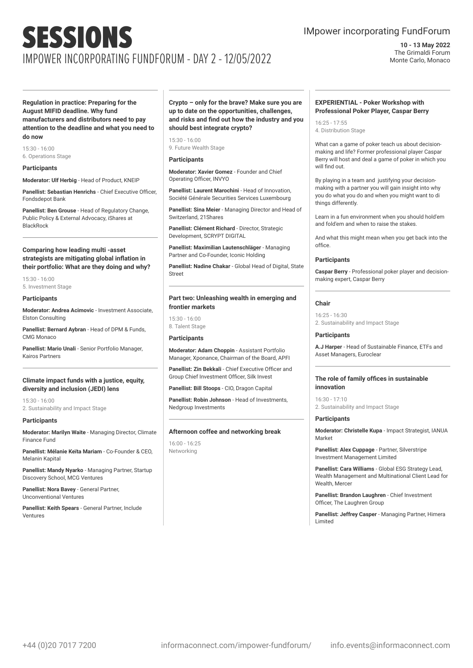### IMpower incorporating FundForum

**10 - 13 May 2022** The Grimaldi Forum Monte Carlo, Monaco

**Regulation in practice: Preparing for the August MIFID deadline. Why fund manufacturers and distributors need to pay attention to the deadline and what you need to do now**

15:30 - 16:00 6. Operations Stage

#### **Participants**

**Moderator: Ulf Herbig** - Head of Product, KNEIP

**Panellist: Sebastian Henrichs** - Chief Executive Officer, Fondsdepot Bank

**Panellist: Ben Grouse** - Head of Regulatory Change, Public Policy & External Advocacy, iShares at **BlackBock** 

#### **Comparing how leading multi -asset strategists are mitigating global inflation in their portfolio: What are they doing and why?**

15:30 - 16:00 5. Investment Stage

#### **Participants**

**Moderator: Andrea Acimovic** - Investment Associate, Elston Consulting

**Panellist: Bernard Aybran** - Head of DPM & Funds, CMG Monaco

**Panellist: Mario Unali** - Senior Portfolio Manager, Kairos Partners

#### **Climate impact funds with a justice, equity, diversity and inclusion (JEDI) lens**

15:30 - 16:00 2. Sustainability and Impact Stage

#### **Participants**

**Moderator: Marilyn Waite** - Managing Director, Climate Finance Fund

**Panellist: Mélanie Keïta Mariam** - Co-Founder & CEO, Melanin Kapital

**Panellist: Mandy Nyarko** - Managing Partner, Startup Discovery School, MCG Ventures

**Panellist: Nora Bavey** - General Partner, Unconventional Ventures

**Panellist: Keith Spears** - General Partner, Include Ventures

#### **Crypto – only for the brave? Make sure you are up to date on the opportunities, challenges, and risks and find out how the industry and you should best integrate crypto?**

15:30 - 16:00 9. Future Wealth Stage

#### **Participants**

**Moderator: Xavier Gomez** - Founder and Chief Operating Officer, INVYO

**Panellist: Laurent Marochini** - Head of Innovation, Société Générale Securities Services Luxembourg

**Panellist: Sina Meier** - Managing Director and Head of Switzerland, 21Shares

**Panellist: Clément Richard** - Director, Strategic Development, SCRYPT DIGITAL

**Panellist: Maximilian Lautenschläger** - Managing Partner and Co-Founder, Iconic Holding

**Panellist: Nadine Chakar** - Global Head of Digital, State Street

#### **Part two: Unleashing wealth in emerging and frontier markets**

15:30 - 16:00 8. Talent Stage

#### **Participants**

**Moderator: Adam Choppin** - Assistant Portfolio Manager, Xponance, Chairman of the Board, APFI

**Panellist: Zin Bekkali** - Chief Executive Officer and Group Chief Investment Officer, Silk Invest

**Panellist: Bill Stoops** - CIO, Dragon Capital

**Panellist: Robin Johnson** - Head of Investments, Nedgroup Investments

#### **Afternoon coffee and networking break**

16:00 - 16:25 Networking

#### **EXPERIENTIAL - Poker Workshop with Professional Poker Player, Caspar Berry**

16:25 - 17:55 4. Distribution Stage

What can a game of poker teach us about decisionmaking and life? Former professional player Caspar Berry will host and deal a game of poker in which you will find out.

By playing in a team and justifying your decisionmaking with a partner you will gain insight into why you do what you do and when you might want to di things differently.

Learn in a fun environment when you should hold'em and fold'em and when to raise the stakes.

And what this might mean when you get back into the office.

#### **Participants**

**Caspar Berry** - Professional poker player and decisionmaking expert, Caspar Berry

#### **Chair**

16:25 - 16:30 2. Sustainability and Impact Stage

#### **Participants**

**A.J Harper** - Head of Sustainable Finance, ETFs and Asset Managers, Euroclear

#### **The role of family offices in sustainable innovation**

16:30 - 17:10 2. Sustainability and Impact Stage

#### **Participants**

**Moderator: Christelle Kupa** - Impact Strategist, IANUA Market

**Panellist: Alex Cuppage** - Partner, Silverstripe Investment Management Limited

**Panellist: Cara Williams** - Global ESG Strategy Lead, Wealth Management and Multinational Client Lead for Wealth, Mercer

**Panellist: Brandon Laughren** - Chief Investment Officer, The Laughren Group

**Panellist: Jeffrey Casper** - Managing Partner, Himera Limited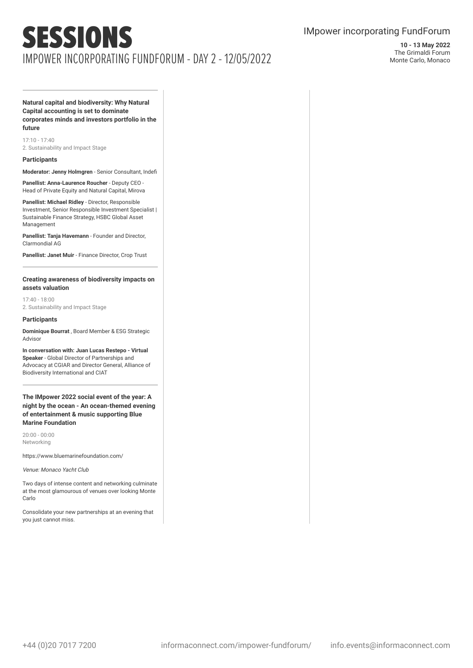### IMpower incorporating FundForum

**10 - 13 May 2022** The Grimaldi Forum Monte Carlo, Monaco

**Natural capital and biodiversity: Why Natural Capital accounting is set to dominate corporates minds and investors portfolio in the future**

17:10 - 17:40 2. Sustainability and Impact Stage

#### **Participants**

**Moderator: Jenny Holmgren** - Senior Consultant, Indefi

**Panellist: Anna-Laurence Roucher** - Deputy CEO - Head of Private Equity and Natural Capital, Mirova

**Panellist: Michael Ridley** - Director, Responsible Investment, Senior Responsible Investment Specialist | Sustainable Finance Strategy, HSBC Global Asset Management

**Panellist: Tanja Havemann** - Founder and Director, Clarmondial AG

**Panellist: Janet Muir** - Finance Director, Crop Trust

#### **Creating awareness of biodiversity impacts on assets valuation**

17:40 - 18:00 2. Sustainability and Impact Stage

#### **Participants**

**Dominique Bourrat** , Board Member & ESG Strategic Advisor

**In conversation with: Juan Lucas Restepo - Virtual Speaker** - Global Director of Partnerships and Advocacy at CGIAR and Director General, Alliance of Biodiversity International and CIAT

**The IMpower 2022 social event of the year: A night by the ocean - An ocean-themed evening of entertainment & music supporting Blue Marine Foundation**

20:00 - 00:00 Networking

https://www.bluemarinefoundation.com/

Venue: Monaco Yacht Club

Two days of intense content and networking culminate at the most glamourous of venues over looking Monte Carlo

Consolidate your new partnerships at an evening that you just cannot miss.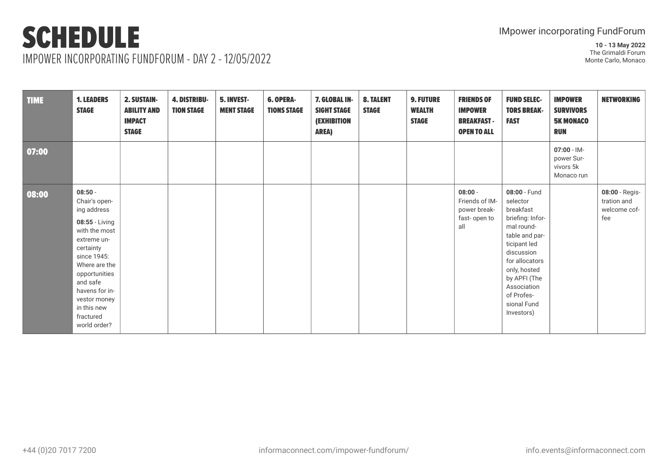IMPOWER INCORPORATING FUNDFORUM - DAY 2 - 12/05/2022

| <b>TIME</b> | <b>1. LEADERS</b><br><b>STAGE</b>                                                                                                                                                                                                                   | 2. SUSTAIN-<br><b>ABILITY AND</b><br><b>IMPACT</b><br><b>STAGE</b> | <b>4. DISTRIBU-</b><br><b>TION STAGE</b> | 5. INVEST-<br><b>MENT STAGE</b> | <b>6. OPERA-</b><br><b>TIONS STAGE</b> | 7. GLOBAL IN-<br><b>SIGHT STAGE</b><br><b>(EXHIBITION</b><br><b>AREA)</b> | <b>8. TALENT</b><br><b>STAGE</b> | <b>9. FUTURE</b><br><b>WEALTH</b><br><b>STAGE</b> | <b>FRIENDS OF</b><br><b>IMPOWER</b><br><b>BREAKFAST-</b><br><b>OPEN TO ALL</b> | <b>FUND SELEC-</b><br><b>TORS BREAK-</b><br><b>FAST</b>                                                                                                                                                                             | <b>IMPOWER</b><br><b>SURVIVORS</b><br><b>5K MONACO</b><br><b>RUN</b> | <b>NETWORKING</b>                                    |
|-------------|-----------------------------------------------------------------------------------------------------------------------------------------------------------------------------------------------------------------------------------------------------|--------------------------------------------------------------------|------------------------------------------|---------------------------------|----------------------------------------|---------------------------------------------------------------------------|----------------------------------|---------------------------------------------------|--------------------------------------------------------------------------------|-------------------------------------------------------------------------------------------------------------------------------------------------------------------------------------------------------------------------------------|----------------------------------------------------------------------|------------------------------------------------------|
| 07:00       |                                                                                                                                                                                                                                                     |                                                                    |                                          |                                 |                                        |                                                                           |                                  |                                                   |                                                                                |                                                                                                                                                                                                                                     | $07:00 - 1M -$<br>power Sur-<br>vivors 5k<br>Monaco run              |                                                      |
| 08:00       | $08:50 -$<br>Chair's open-<br>ing address<br>08:55 - Living<br>with the most<br>extreme un-<br>certainty<br>since 1945:<br>Where are the<br>opportunities<br>and safe<br>havens for in-<br>vestor money<br>in this new<br>fractured<br>world order? |                                                                    |                                          |                                 |                                        |                                                                           |                                  |                                                   | $08:00 -$<br>Friends of IM-<br>power break-<br>fast-open to<br>all             | 08:00 - Fund<br>selector<br>breakfast<br>briefing: Infor-<br>mal round-<br>table and par-<br>ticipant led<br>discussion<br>for allocators<br>only, hosted<br>by APFI (The<br>Association<br>of Profes-<br>sional Fund<br>Investors) |                                                                      | 08:00 - Regis-<br>tration and<br>welcome cof-<br>fee |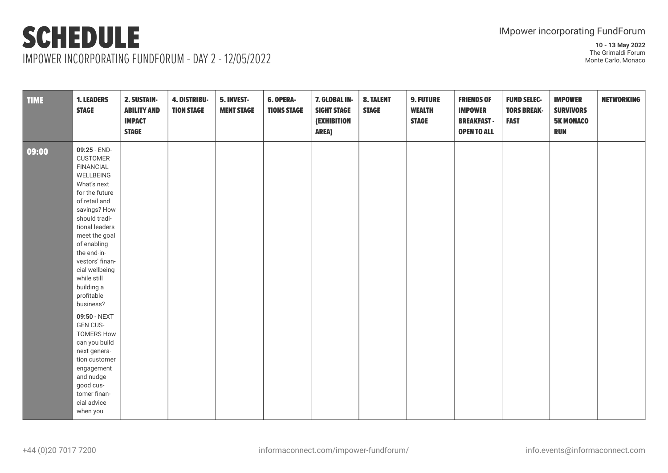IMPOWER INCORPORATING FUNDFORUM - DAY 2 - 12/05/2022

| <b>TIME</b> | <b>1. LEADERS</b><br><b>STAGE</b>                                                                                                                                                                                                                                                                                 | 2. SUSTAIN-<br><b>ABILITY AND</b><br><b>IMPACT</b><br><b>STAGE</b> | 4. DISTRIBU-<br><b>TION STAGE</b> | 5. INVEST-<br><b>MENT STAGE</b> | 6. OPERA-<br><b>TIONS STAGE</b> | 7. GLOBAL IN-<br><b>SIGHT STAGE</b><br><b>(EXHIBITION</b><br><b>AREA)</b> | 8. TALENT<br><b>STAGE</b> | <b>9. FUTURE</b><br><b>WEALTH</b><br><b>STAGE</b> | <b>FRIENDS OF</b><br><b>IMPOWER</b><br><b>BREAKFAST-</b><br><b>OPEN TO ALL</b> | <b>FUND SELEC-</b><br><b>TORS BREAK-</b><br><b>FAST</b> | <b>IMPOWER</b><br><b>SURVIVORS</b><br><b>5K MONACO</b><br><b>RUN</b> | <b>NETWORKING</b> |
|-------------|-------------------------------------------------------------------------------------------------------------------------------------------------------------------------------------------------------------------------------------------------------------------------------------------------------------------|--------------------------------------------------------------------|-----------------------------------|---------------------------------|---------------------------------|---------------------------------------------------------------------------|---------------------------|---------------------------------------------------|--------------------------------------------------------------------------------|---------------------------------------------------------|----------------------------------------------------------------------|-------------------|
| 09:00       | 09:25 - END-<br><b>CUSTOMER</b><br><b>FINANCIAL</b><br>WELLBEING<br>What's next<br>for the future<br>of retail and<br>savings? How<br>should tradi-<br>tional leaders<br>meet the goal<br>of enabling<br>the end-in-<br>vestors' finan-<br>cial wellbeing<br>while still<br>building a<br>profitable<br>business? |                                                                    |                                   |                                 |                                 |                                                                           |                           |                                                   |                                                                                |                                                         |                                                                      |                   |
|             | 09:50 - NEXT<br><b>GEN CUS-</b><br><b>TOMERS How</b><br>can you build<br>next genera-<br>tion customer<br>engagement<br>and nudge<br>good cus-<br>tomer finan-<br>cial advice<br>when you                                                                                                                         |                                                                    |                                   |                                 |                                 |                                                                           |                           |                                                   |                                                                                |                                                         |                                                                      |                   |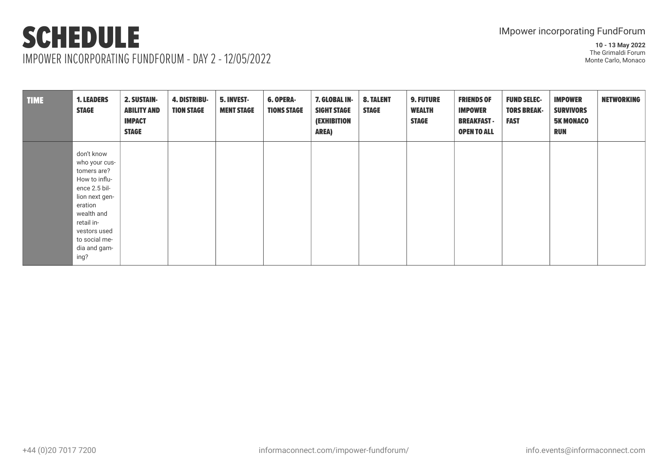IMPOWER INCORPORATING FUNDFORUM - DAY 2 - 12/05/2022

| <b>TIME</b> | <b>1. LEADERS</b><br><b>STAGE</b>                                                                                                                                                              | 2. SUSTAIN-<br><b>ABILITY AND</b><br><b>IMPACT</b><br><b>STAGE</b> | <b>4. DISTRIBU-</b><br><b>TION STAGE</b> | 5. INVEST-<br><b>MENT STAGE</b> | <b>6. OPERA-</b><br><b>TIONS STAGE</b> | 7. GLOBAL IN-<br><b>SIGHT STAGE</b><br><b>(EXHIBITION</b><br><b>AREA)</b> | <b>8. TALENT</b><br><b>STAGE</b> | <b>9. FUTURE</b><br><b>WEALTH</b><br><b>STAGE</b> | <b>FRIENDS OF</b><br><b>IMPOWER</b><br><b>BREAKFAST -</b><br><b>OPEN TO ALL</b> | <b>FUND SELEC-</b><br><b>TORS BREAK-</b><br><b>FAST</b> | <b>IMPOWER</b><br><b>SURVIVORS</b><br><b>5K MONACO</b><br><b>RUN</b> | <b>NETWORKING</b> |
|-------------|------------------------------------------------------------------------------------------------------------------------------------------------------------------------------------------------|--------------------------------------------------------------------|------------------------------------------|---------------------------------|----------------------------------------|---------------------------------------------------------------------------|----------------------------------|---------------------------------------------------|---------------------------------------------------------------------------------|---------------------------------------------------------|----------------------------------------------------------------------|-------------------|
|             | don't know<br>who your cus-<br>tomers are?<br>How to influ-<br>ence 2.5 bil-<br>lion next gen-<br>eration<br>wealth and<br>retail in-<br>vestors used<br>to social me-<br>dia and gam-<br>ing? |                                                                    |                                          |                                 |                                        |                                                                           |                                  |                                                   |                                                                                 |                                                         |                                                                      |                   |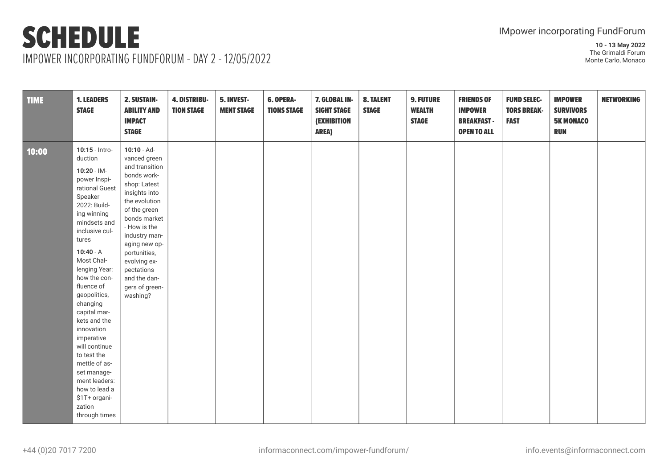| <b>TIME</b> | <b>1. LEADERS</b><br><b>STAGE</b>                                                                                                                                                                                                                                                                                                                                                                                                                                                    | 2. SUSTAIN-<br><b>ABILITY AND</b><br><b>IMPACT</b><br><b>STAGE</b>                                                                                                                                                                                                                             | <b>4. DISTRIBU-</b><br><b>TION STAGE</b> | 5. INVEST-<br><b>MENT STAGE</b> | 6. OPERA-<br><b>TIONS STAGE</b> | 7. GLOBAL IN-<br><b>SIGHT STAGE</b><br><b>(EXHIBITION</b><br><b>AREA)</b> | 8. TALENT<br><b>STAGE</b> | <b>9. FUTURE</b><br><b>WEALTH</b><br><b>STAGE</b> | <b>FRIENDS OF</b><br><b>IMPOWER</b><br><b>BREAKFAST-</b><br><b>OPEN TO ALL</b> | <b>FUND SELEC-</b><br><b>TORS BREAK-</b><br><b>FAST</b> | <b>IMPOWER</b><br><b>SURVIVORS</b><br><b>5K MONACO</b><br><b>RUN</b> | <b>NETWORKING</b> |
|-------------|--------------------------------------------------------------------------------------------------------------------------------------------------------------------------------------------------------------------------------------------------------------------------------------------------------------------------------------------------------------------------------------------------------------------------------------------------------------------------------------|------------------------------------------------------------------------------------------------------------------------------------------------------------------------------------------------------------------------------------------------------------------------------------------------|------------------------------------------|---------------------------------|---------------------------------|---------------------------------------------------------------------------|---------------------------|---------------------------------------------------|--------------------------------------------------------------------------------|---------------------------------------------------------|----------------------------------------------------------------------|-------------------|
| 10:00       | 10:15 - Intro-<br>duction<br>$10:20 - 1M -$<br>power Inspi-<br>rational Guest<br>Speaker<br>2022: Build-<br>ing winning<br>mindsets and<br>inclusive cul-<br>tures<br>$10:40 - A$<br>Most Chal-<br>lenging Year:<br>how the con-<br>fluence of<br>geopolitics,<br>changing<br>capital mar-<br>kets and the<br>innovation<br>imperative<br>will continue<br>to test the<br>mettle of as-<br>set manage-<br>ment leaders:<br>how to lead a<br>\$1T+ organi-<br>zation<br>through times | $10:10 - Ad-$<br>vanced green<br>and transition<br>bonds work-<br>shop: Latest<br>insights into<br>the evolution<br>of the green<br>bonds market<br>- How is the<br>industry man-<br>aging new op-<br>portunities,<br>evolving ex-<br>pectations<br>and the dan-<br>gers of green-<br>washing? |                                          |                                 |                                 |                                                                           |                           |                                                   |                                                                                |                                                         |                                                                      |                   |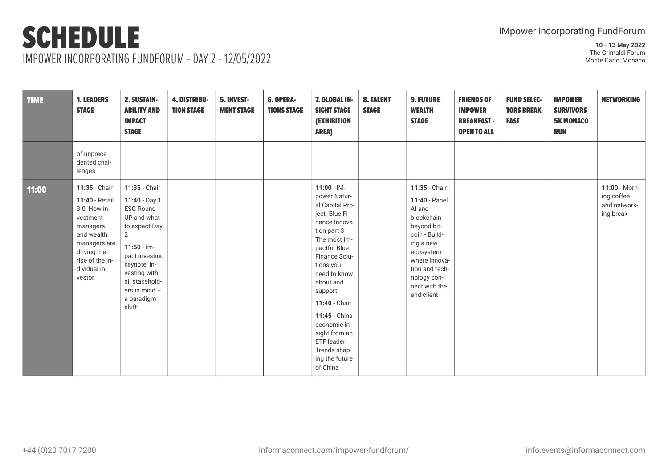| <b>TIME</b> | <b>1. LEADERS</b><br><b>STAGE</b>                                                                                                                                 | 2. SUSTAIN-<br><b>ABILITY AND</b><br><b>IMPACT</b><br><b>STAGE</b>                                                                                                                                                                | <b>4. DISTRIBU-</b><br><b>TION STAGE</b> | 5. INVEST-<br><b>MENT STAGE</b> | <b>6. OPERA-</b><br><b>TIONS STAGE</b> | 7. GLOBAL IN-<br><b>SIGHT STAGE</b><br><b>(EXHIBITION</b><br><b>AREA)</b>                                                                                                                                                                                                                                                                | <b>8. TALENT</b><br><b>STAGE</b> | <b>9. FUTURE</b><br><b>WEALTH</b><br><b>STAGE</b>                                                                                                                                                 | <b>FRIENDS OF</b><br><b>IMPOWER</b><br><b>BREAKFAST-</b><br><b>OPEN TO ALL</b> | <b>FUND SELEC-</b><br><b>TORS BREAK-</b><br><b>FAST</b> | <b>IMPOWER</b><br><b>SURVIVORS</b><br><b>5K MONACO</b><br><b>RUN</b> | <b>NETWORKING</b>                                        |
|-------------|-------------------------------------------------------------------------------------------------------------------------------------------------------------------|-----------------------------------------------------------------------------------------------------------------------------------------------------------------------------------------------------------------------------------|------------------------------------------|---------------------------------|----------------------------------------|------------------------------------------------------------------------------------------------------------------------------------------------------------------------------------------------------------------------------------------------------------------------------------------------------------------------------------------|----------------------------------|---------------------------------------------------------------------------------------------------------------------------------------------------------------------------------------------------|--------------------------------------------------------------------------------|---------------------------------------------------------|----------------------------------------------------------------------|----------------------------------------------------------|
|             | of unprece-<br>dented chal-<br>lenges                                                                                                                             |                                                                                                                                                                                                                                   |                                          |                                 |                                        |                                                                                                                                                                                                                                                                                                                                          |                                  |                                                                                                                                                                                                   |                                                                                |                                                         |                                                                      |                                                          |
| 11:00       | 11:35 - Chair<br>11:40 - Retail<br>3.0: How in-<br>vestment<br>managers<br>and wealth<br>managers are<br>driving the<br>rise of the in-<br>dividual in-<br>vestor | 11:35 - Chair<br>11:40 - Day 1<br><b>ESG Round</b><br>UP and what<br>to expect Day<br>$\overline{2}$<br>$11:50 - Im-$<br>pact investing<br>keynote; In-<br>vesting with<br>all stakehold-<br>ers in mind -<br>a paradigm<br>shift |                                          |                                 |                                        | $11:00 - 1M -$<br>power Natur-<br>al Capital Pro-<br>ject-Blue Fi-<br>nance Innova-<br>tion part 3<br>The most Im-<br>pactful Blue<br>Finance Solu-<br>tions you<br>need to know<br>about and<br>support<br>11:40 - Chair<br>11:45 - China<br>economic in-<br>sight from an<br>ETF leader:<br>Trends shap-<br>ing the future<br>of China |                                  | 11:35 - Chair<br>11:40 - Panel<br>AI and<br>blockchain<br>beyond bit-<br>coin - Build-<br>ing a new<br>ecosystem<br>where innova-<br>tion and tech-<br>nology con-<br>nect with the<br>end client |                                                                                |                                                         |                                                                      | 11:00 - Morn-<br>ing coffee<br>and network-<br>ing break |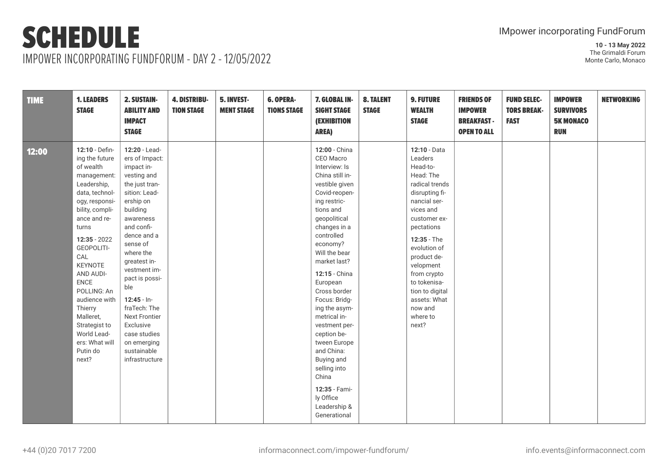IMPOWER INCORPORATING FUNDFORUM - DAY 2 - 12/05/2022

| <b>TIME</b> | <b>1. LEADERS</b><br><b>STAGE</b>                                                                                                                                                                                                                                                                                                                                        | 2. SUSTAIN-<br><b>ABILITY AND</b><br><b>IMPACT</b><br><b>STAGE</b>                                                                                                                                                                                                                                                                                                                         | <b>4. DISTRIBU-</b><br><b>TION STAGE</b> | 5. INVEST-<br><b>MENT STAGE</b> | 6. OPERA-<br><b>TIONS STAGE</b> | 7. GLOBAL IN-<br><b>SIGHT STAGE</b><br><b>(EXHIBITION</b><br><b>AREA)</b>                                                                                                                                                                                                                                                                                                                                                                                                                   | <b>8. TALENT</b><br><b>STAGE</b> | <b>9. FUTURE</b><br><b>WEALTH</b><br><b>STAGE</b>                                                                                                                                                                                                                                                            | <b>FRIENDS OF</b><br><b>IMPOWER</b><br><b>BREAKFAST-</b><br><b>OPEN TO ALL</b> | <b>FUND SELEC-</b><br><b>TORS BREAK-</b><br><b>FAST</b> | <b>IMPOWER</b><br><b>SURVIVORS</b><br><b>5K MONACO</b><br><b>RUN</b> | <b>NETWORKING</b> |
|-------------|--------------------------------------------------------------------------------------------------------------------------------------------------------------------------------------------------------------------------------------------------------------------------------------------------------------------------------------------------------------------------|--------------------------------------------------------------------------------------------------------------------------------------------------------------------------------------------------------------------------------------------------------------------------------------------------------------------------------------------------------------------------------------------|------------------------------------------|---------------------------------|---------------------------------|---------------------------------------------------------------------------------------------------------------------------------------------------------------------------------------------------------------------------------------------------------------------------------------------------------------------------------------------------------------------------------------------------------------------------------------------------------------------------------------------|----------------------------------|--------------------------------------------------------------------------------------------------------------------------------------------------------------------------------------------------------------------------------------------------------------------------------------------------------------|--------------------------------------------------------------------------------|---------------------------------------------------------|----------------------------------------------------------------------|-------------------|
| 12:00       | 12:10 - Defin-<br>ing the future<br>of wealth<br>management:<br>Leadership,<br>data, technol-<br>ogy, responsi-<br>bility, compli-<br>ance and re-<br>turns<br>$12:35 - 2022$<br>GEOPOLITI-<br>CAL<br>KEYNOTE<br>AND AUDI-<br><b>ENCE</b><br>POLLING: An<br>audience with<br>Thierry<br>Malleret,<br>Strategist to<br>World Lead-<br>ers: What will<br>Putin do<br>next? | 12:20 - Lead-<br>ers of Impact:<br>impact in-<br>vesting and<br>the just tran-<br>sition: Lead-<br>ership on<br>building<br>awareness<br>and confi-<br>dence and a<br>sense of<br>where the<br>greatest in-<br>vestment im-<br>pact is possi-<br>ble<br>$12:45 - In-$<br>fraTech: The<br><b>Next Frontier</b><br>Exclusive<br>case studies<br>on emerging<br>sustainable<br>infrastructure |                                          |                                 |                                 | 12:00 - China<br>CEO Macro<br>Interview: Is<br>China still in-<br>vestible given<br>Covid-reopen-<br>ing restric-<br>tions and<br>geopolitical<br>changes in a<br>controlled<br>economy?<br>Will the bear<br>market last?<br>12:15 - China<br>European<br>Cross border<br>Focus: Bridg-<br>ing the asym-<br>metrical in-<br>vestment per-<br>ception be-<br>tween Europe<br>and China:<br>Buying and<br>selling into<br>China<br>12:35 - Fami-<br>ly Office<br>Leadership &<br>Generational |                                  | 12:10 - Data<br>Leaders<br>Head-to-<br>Head: The<br>radical trends<br>disrupting fi-<br>nancial ser-<br>vices and<br>customer ex-<br>pectations<br>12:35 - The<br>evolution of<br>product de-<br>velopment<br>from crypto<br>to tokenisa-<br>tion to digital<br>assets: What<br>now and<br>where to<br>next? |                                                                                |                                                         |                                                                      |                   |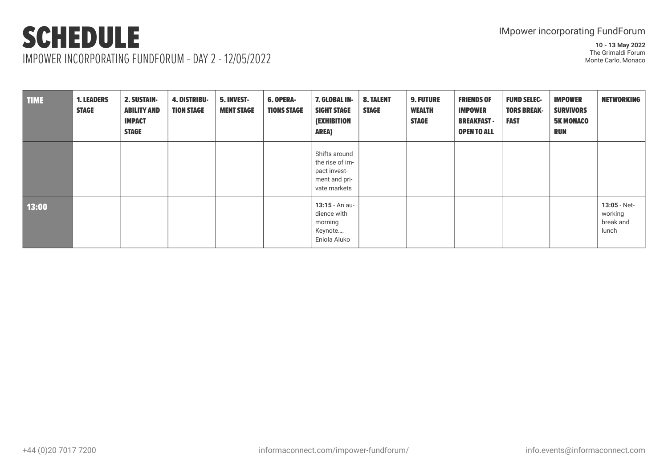IMPOWER INCORPORATING FUNDFORUM - DAY 2 - 12/05/2022

| <b>TIME</b> | <b>1. LEADERS</b><br><b>STAGE</b> | <b>2. SUSTAIN-</b><br><b>ABILITY AND</b><br><b>IMPACT</b><br><b>STAGE</b> | <b>4. DISTRIBU-</b><br><b>TION STAGE</b> | 5. INVEST-<br><b>MENT STAGE</b> | <b>6. OPERA-</b><br><b>TIONS STAGE</b> | 7. GLOBAL IN-<br><b>SIGHT STAGE</b><br><b>(EXHIBITION</b><br><b>AREA)</b>         | <b>8. TALENT</b><br><b>STAGE</b> | <b>9. FUTURE</b><br><b>WEALTH</b><br><b>STAGE</b> | <b>FRIENDS OF</b><br><b>IMPOWER</b><br><b>BREAKFAST -</b><br><b>OPEN TO ALL</b> | <b>FUND SELEC-</b><br><b>TORS BREAK-</b><br><b>FAST</b> | <b>IMPOWER</b><br><b>SURVIVORS</b><br><b>5K MONACO</b><br><b>RUN</b> | <b>NETWORKING</b>                                |
|-------------|-----------------------------------|---------------------------------------------------------------------------|------------------------------------------|---------------------------------|----------------------------------------|-----------------------------------------------------------------------------------|----------------------------------|---------------------------------------------------|---------------------------------------------------------------------------------|---------------------------------------------------------|----------------------------------------------------------------------|--------------------------------------------------|
|             |                                   |                                                                           |                                          |                                 |                                        | Shifts around<br>the rise of im-<br>pact invest-<br>ment and pri-<br>vate markets |                                  |                                                   |                                                                                 |                                                         |                                                                      |                                                  |
| 13:00       |                                   |                                                                           |                                          |                                 |                                        | 13:15 - An au-<br>dience with<br>morning<br>Keynote<br>Eniola Aluko               |                                  |                                                   |                                                                                 |                                                         |                                                                      | $13:05 - Net -$<br>working<br>break and<br>lunch |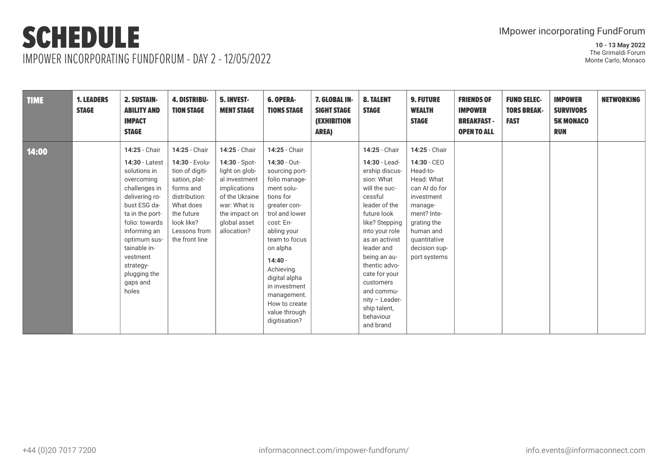IMPOWER INCORPORATING FUNDFORUM - DAY 2 - 12/05/2022

| <b>TIME</b> | <b>1. LEADERS</b><br><b>STAGE</b> | 2. SUSTAIN-<br><b>ABILITY AND</b><br><b>IMPACT</b><br><b>STAGE</b>                                                                                                                                                                                                  | <b>4. DISTRIBU-</b><br><b>TION STAGE</b>                                                                                                                                     | 5. INVEST-<br><b>MENT STAGE</b>                                                                                                                                     | <b>6. OPERA-</b><br><b>TIONS STAGE</b>                                                                                                                                                                                                                                                                               | 7. GLOBAL IN-<br><b>SIGHT STAGE</b><br><b>(EXHIBITION</b><br><b>AREA)</b> | <b>8. TALENT</b><br><b>STAGE</b>                                                                                                                                                                                                                                                                                                        | <b>9. FUTURE</b><br><b>WEALTH</b><br><b>STAGE</b>                                                                                                                                            | <b>FRIENDS OF</b><br><b>IMPOWER</b><br><b>BREAKFAST -</b><br><b>OPEN TO ALL</b> | <b>FUND SELEC-</b><br><b>TORS BREAK-</b><br><b>FAST</b> | <b>IMPOWER</b><br><b>SURVIVORS</b><br><b>5K MONACO</b><br><b>RUN</b> | <b>NETWORKING</b> |
|-------------|-----------------------------------|---------------------------------------------------------------------------------------------------------------------------------------------------------------------------------------------------------------------------------------------------------------------|------------------------------------------------------------------------------------------------------------------------------------------------------------------------------|---------------------------------------------------------------------------------------------------------------------------------------------------------------------|----------------------------------------------------------------------------------------------------------------------------------------------------------------------------------------------------------------------------------------------------------------------------------------------------------------------|---------------------------------------------------------------------------|-----------------------------------------------------------------------------------------------------------------------------------------------------------------------------------------------------------------------------------------------------------------------------------------------------------------------------------------|----------------------------------------------------------------------------------------------------------------------------------------------------------------------------------------------|---------------------------------------------------------------------------------|---------------------------------------------------------|----------------------------------------------------------------------|-------------------|
| 14:00       |                                   | 14:25 - Chair<br>14:30 - Latest<br>solutions in<br>overcoming<br>challenges in<br>delivering ro-<br>bust ESG da-<br>ta in the port-<br>folio: towards<br>informing an<br>optimum sus-<br>tainable in-<br>vestment<br>strategy-<br>plugging the<br>gaps and<br>holes | 14:25 - Chair<br>14:30 - Evolu-<br>tion of digiti-<br>sation, plat-<br>forms and<br>distribution:<br>What does<br>the future<br>look like?<br>Lessons from<br>the front line | 14:25 - Chair<br>14:30 - Spot-<br>light on glob-<br>al investment<br>implications<br>of the Ukraine<br>war: What is<br>the impact on<br>global asset<br>allocation? | 14:25 - Chair<br>14:30 - Out-<br>sourcing port-<br>folio manage-<br>ment solu-<br>tions for<br>greater con-<br>trol and lower<br>cost: En-<br>abling your<br>team to focus<br>on alpha<br>$14:40 -$<br>Achieving<br>digital alpha<br>in investment<br>management.<br>How to create<br>value through<br>digitisation? |                                                                           | 14:25 - Chair<br>14:30 - Lead-<br>ership discus-<br>sion: What<br>will the suc-<br>cessful<br>leader of the<br>future look<br>like? Stepping<br>into your role<br>as an activist<br>leader and<br>being an au-<br>thentic advo-<br>cate for your<br>customers<br>and commu-<br>nity - Leader-<br>ship talent,<br>behaviour<br>and brand | 14:25 - Chair<br>14:30 - CEO<br>Head-to-<br>Head: What<br>can Al do for<br>investment<br>manage-<br>ment? Inte-<br>grating the<br>human and<br>quantitative<br>decision sup-<br>port systems |                                                                                 |                                                         |                                                                      |                   |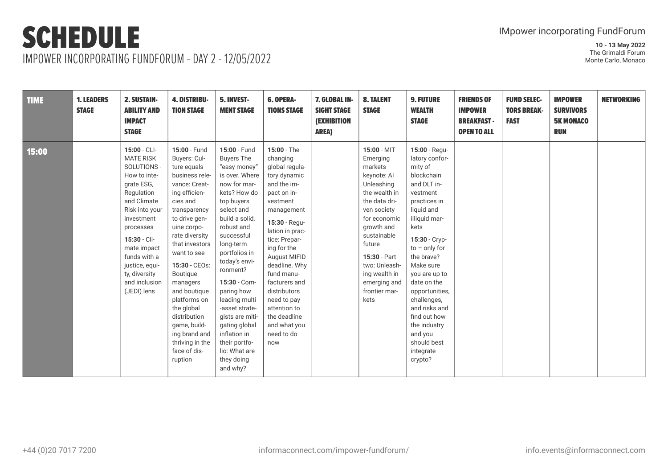IMPOWER INCORPORATING FUNDFORUM - DAY 2 - 12/05/2022

| <b>TIME</b> | <b>1. LEADERS</b><br><b>STAGE</b> | <b>2. SUSTAIN-</b><br><b>ABILITY AND</b><br><b>IMPACT</b><br><b>STAGE</b>                                                                                                                                                                                                   | <b>4. DISTRIBU-</b><br><b>TION STAGE</b>                                                                                                                                                                                                                                                                                                                                                             | 5. INVEST-<br><b>MENT STAGE</b>                                                                                                                                                                                                                                                                                                                                                                                           | <b>6. OPERA-</b><br><b>TIONS STAGE</b>                                                                                                                                                                                                                                                                                                                      | 7. GLOBAL IN-<br><b>SIGHT STAGE</b><br><b>(EXHIBITION</b><br><b>AREA)</b> | <b>8. TALENT</b><br><b>STAGE</b>                                                                                                                                                                                                                                   | <b>9. FUTURE</b><br><b>WEALTH</b><br><b>STAGE</b>                                                                                                                                                                                                                                                                                                                             | <b>FRIENDS OF</b><br><b>IMPOWER</b><br><b>BREAKFAST -</b><br><b>OPEN TO ALL</b> | <b>FUND SELEC-</b><br><b>TORS BREAK-</b><br><b>FAST</b> | <b>IMPOWER</b><br><b>SURVIVORS</b><br><b>5K MONACO</b><br><b>RUN</b> | <b>NETWORKING</b> |
|-------------|-----------------------------------|-----------------------------------------------------------------------------------------------------------------------------------------------------------------------------------------------------------------------------------------------------------------------------|------------------------------------------------------------------------------------------------------------------------------------------------------------------------------------------------------------------------------------------------------------------------------------------------------------------------------------------------------------------------------------------------------|---------------------------------------------------------------------------------------------------------------------------------------------------------------------------------------------------------------------------------------------------------------------------------------------------------------------------------------------------------------------------------------------------------------------------|-------------------------------------------------------------------------------------------------------------------------------------------------------------------------------------------------------------------------------------------------------------------------------------------------------------------------------------------------------------|---------------------------------------------------------------------------|--------------------------------------------------------------------------------------------------------------------------------------------------------------------------------------------------------------------------------------------------------------------|-------------------------------------------------------------------------------------------------------------------------------------------------------------------------------------------------------------------------------------------------------------------------------------------------------------------------------------------------------------------------------|---------------------------------------------------------------------------------|---------------------------------------------------------|----------------------------------------------------------------------|-------------------|
| 15:00       |                                   | $15:00 - CL$ -<br><b>MATE RISK</b><br>SOLUTIONS -<br>How to inte-<br>grate ESG,<br>Regulation<br>and Climate<br>Risk into your<br>investment<br>processes<br>15:30 - Cli-<br>mate impact<br>funds with a<br>justice, equi-<br>ty, diversity<br>and inclusion<br>(JEDI) lens | 15:00 - Fund<br>Buyers: Cul-<br>ture equals<br>business rele-<br>vance: Creat-<br>ing efficien-<br>cies and<br>transparency<br>to drive gen-<br>uine corpo-<br>rate diversity<br>that investors<br>want to see<br>15:30 - CEOs:<br>Boutique<br>managers<br>and boutique<br>platforms on<br>the global<br>distribution<br>game, build-<br>ing brand and<br>thriving in the<br>face of dis-<br>ruption | 15:00 - Fund<br><b>Buyers The</b><br>"easy money"<br>is over. Where<br>now for mar-<br>kets? How do<br>top buyers<br>select and<br>build a solid,<br>robust and<br>successful<br>long-term<br>portfolios in<br>today's envi-<br>ronment?<br>15:30 - Com-<br>paring how<br>leading multi<br>-asset strate-<br>gists are miti-<br>gating global<br>inflation in<br>their portfo-<br>lio: What are<br>they doing<br>and why? | $15:00 - The$<br>changing<br>global regula-<br>tory dynamic<br>and the im-<br>pact on in-<br>vestment<br>management<br>15:30 - Regu-<br>lation in prac-<br>tice: Prepar-<br>ing for the<br>August MIFID<br>deadline. Why<br>fund manu-<br>facturers and<br>distributors<br>need to pay<br>attention to<br>the deadline<br>and what you<br>need to do<br>now |                                                                           | 15:00 - MIT<br>Emerging<br>markets<br>keynote: Al<br>Unleashing<br>the wealth in<br>the data dri-<br>ven society<br>for economic<br>growth and<br>sustainable<br>future<br>15:30 - Part<br>two: Unleash-<br>ing wealth in<br>emerging and<br>frontier mar-<br>kets | 15:00 - Regu-<br>latory confor-<br>mity of<br>blockchain<br>and DLT in-<br>vestment<br>practices in<br>liquid and<br>illiquid mar-<br>kets<br>15:30 - Cryp-<br>$to -$ only for<br>the brave?<br>Make sure<br>you are up to<br>date on the<br>opportunities,<br>challenges,<br>and risks and<br>find out how<br>the industry<br>and you<br>should best<br>integrate<br>crypto? |                                                                                 |                                                         |                                                                      |                   |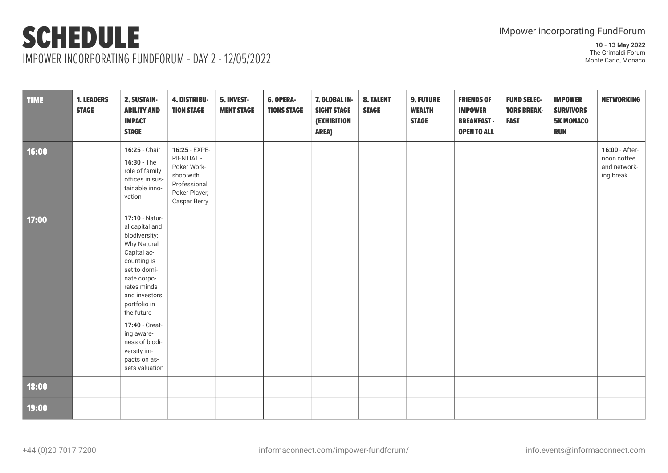IMPOWER INCORPORATING FUNDFORUM - DAY 2 - 12/05/2022

| <b>TIME</b> | <b>1. LEADERS</b><br><b>STAGE</b> | 2. SUSTAIN-<br><b>ABILITY AND</b><br><b>IMPACT</b><br><b>STAGE</b>                                                                                                                                                                                                                             | <b>4. DISTRIBU-</b><br><b>TION STAGE</b>                                                                 | 5. INVEST-<br><b>MENT STAGE</b> | 6. OPERA-<br><b>TIONS STAGE</b> | 7. GLOBAL IN-<br><b>SIGHT STAGE</b><br><b>(EXHIBITION</b><br><b>AREA)</b> | <b>8. TALENT</b><br><b>STAGE</b> | <b>9. FUTURE</b><br><b>WEALTH</b><br><b>STAGE</b> | <b>FRIENDS OF</b><br><b>IMPOWER</b><br><b>BREAKFAST-</b><br><b>OPEN TO ALL</b> | <b>FUND SELEC-</b><br><b>TORS BREAK-</b><br><b>FAST</b> | <b>IMPOWER</b><br><b>SURVIVORS</b><br><b>5K MONACO</b><br><b>RUN</b> | <b>NETWORKING</b>                                          |
|-------------|-----------------------------------|------------------------------------------------------------------------------------------------------------------------------------------------------------------------------------------------------------------------------------------------------------------------------------------------|----------------------------------------------------------------------------------------------------------|---------------------------------|---------------------------------|---------------------------------------------------------------------------|----------------------------------|---------------------------------------------------|--------------------------------------------------------------------------------|---------------------------------------------------------|----------------------------------------------------------------------|------------------------------------------------------------|
| 16:00       |                                   | 16:25 - Chair<br>$16:30 - The$<br>role of family<br>offices in sus-<br>tainable inno-<br>vation                                                                                                                                                                                                | 16:25 - EXPE-<br>RIENTIAL -<br>Poker Work-<br>shop with<br>Professional<br>Poker Player,<br>Caspar Berry |                                 |                                 |                                                                           |                                  |                                                   |                                                                                |                                                         |                                                                      | 16:00 - After-<br>noon coffee<br>and network-<br>ing break |
| 17:00       |                                   | 17:10 - Natur-<br>al capital and<br>biodiversity:<br>Why Natural<br>Capital ac-<br>counting is<br>set to domi-<br>nate corpo-<br>rates minds<br>and investors<br>portfolio in<br>the future<br>17:40 - Creat-<br>ing aware-<br>ness of biodi-<br>versity im-<br>pacts on as-<br>sets valuation |                                                                                                          |                                 |                                 |                                                                           |                                  |                                                   |                                                                                |                                                         |                                                                      |                                                            |
| 18:00       |                                   |                                                                                                                                                                                                                                                                                                |                                                                                                          |                                 |                                 |                                                                           |                                  |                                                   |                                                                                |                                                         |                                                                      |                                                            |
| 19:00       |                                   |                                                                                                                                                                                                                                                                                                |                                                                                                          |                                 |                                 |                                                                           |                                  |                                                   |                                                                                |                                                         |                                                                      |                                                            |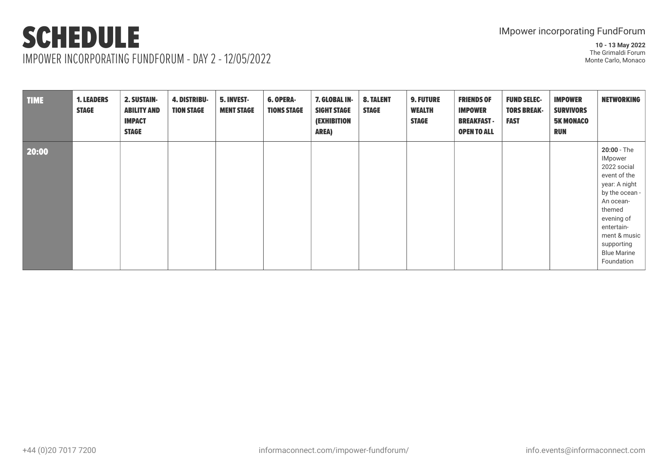IMPOWER INCORPORATING FUNDFORUM - DAY 2 - 12/05/2022

| <b>TIME</b> | <b>1. LEADERS</b><br><b>STAGE</b> | 2. SUSTAIN-<br><b>ABILITY AND</b><br><b>IMPACT</b><br><b>STAGE</b> | <b>4. DISTRIBU-</b><br><b>TION STAGE</b> | 5. INVEST-<br><b>MENT STAGE</b> | 6. OPERA-<br><b>TIONS STAGE</b> | 7. GLOBAL IN-<br><b>SIGHT STAGE</b><br><b>(EXHIBITION</b><br><b>AREA)</b> | <b>8. TALENT</b><br><b>STAGE</b> | <b>9. FUTURE</b><br><b>WEALTH</b><br><b>STAGE</b> | <b>FRIENDS OF</b><br><b>IMPOWER</b><br><b>BREAKFAST -</b><br><b>OPEN TO ALL</b> | <b>FUND SELEC-</b><br><b>TORS BREAK-</b><br><b>FAST</b> | <b>IMPOWER</b><br><b>SURVIVORS</b><br><b>5K MONACO</b><br><b>RUN</b> | <b>NETWORKING</b>                                                                                                                                                                                                    |
|-------------|-----------------------------------|--------------------------------------------------------------------|------------------------------------------|---------------------------------|---------------------------------|---------------------------------------------------------------------------|----------------------------------|---------------------------------------------------|---------------------------------------------------------------------------------|---------------------------------------------------------|----------------------------------------------------------------------|----------------------------------------------------------------------------------------------------------------------------------------------------------------------------------------------------------------------|
| 20:00       |                                   |                                                                    |                                          |                                 |                                 |                                                                           |                                  |                                                   |                                                                                 |                                                         |                                                                      | 20:00 - The<br><b>IMpower</b><br>2022 social<br>event of the<br>year: A night<br>by the ocean -<br>An ocean-<br>themed<br>evening of<br>entertain-<br>ment & music<br>supporting<br><b>Blue Marine</b><br>Foundation |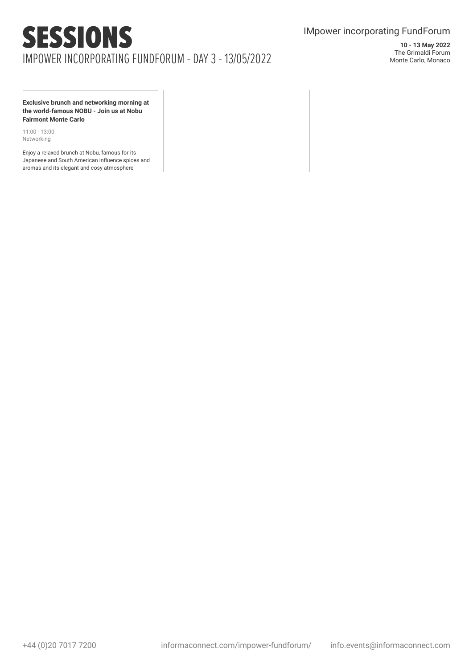### IMpower incorporating FundForum

**10 - 13 May 2022** The Grimaldi Forum Monte Carlo, Monaco

**Exclusive brunch and networking morning at the world-famous NOBU - Join us at Nobu Fairmont Monte Carlo**

11:00 - 13:00 Networking

Enjoy a relaxed brunch at Nobu, famous for its Japanese and South American influence spices and aromas and its elegant and cosy atmosphere